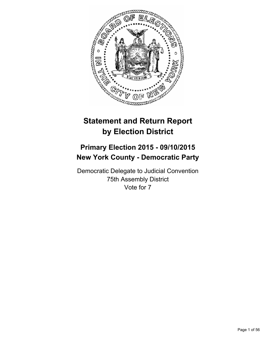

# **Statement and Return Report by Election District**

# **Primary Election 2015 - 09/10/2015 New York County - Democratic Party**

Democratic Delegate to Judicial Convention 75th Assembly District Vote for 7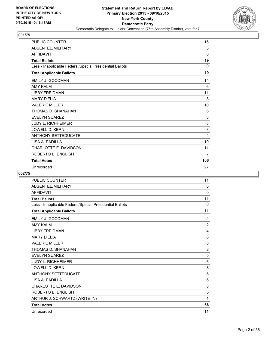

| PUBLIC COUNTER                                           | 16           |
|----------------------------------------------------------|--------------|
| ABSENTEE/MILITARY                                        | 3            |
| <b>AFFIDAVIT</b>                                         | $\mathbf{0}$ |
| <b>Total Ballots</b>                                     | 19           |
| Less - Inapplicable Federal/Special Presidential Ballots | $\Omega$     |
| <b>Total Applicable Ballots</b>                          | 19           |
| EMILY J. GOODMAN                                         | 14           |
| <b>AMY KALM</b>                                          | 6            |
| <b>LIBBY FREIDMAN</b>                                    | 11           |
| <b>MARY D'ELIA</b>                                       | 8            |
| <b>VALERIE MILLER</b>                                    | 10           |
| THOMAS D. SHANAHAN                                       | 6            |
| <b>EVELYN SUAREZ</b>                                     | 8            |
| <b>JUDY L. RICHHEIMER</b>                                | 8            |
| <b>LOWELL D. KERN</b>                                    | 3            |
| <b>ANTHONY SETTEDUCATE</b>                               | 4            |
| LISA A. PADILLA                                          | 10           |
| CHARLOTTE E. DAVIDSON                                    | 11           |
| ROBERTO B. ENGLISH                                       | 7            |
| <b>Total Votes</b>                                       | 106          |
| Unrecorded                                               | 27           |

| <b>PUBLIC COUNTER</b>                                    | 11             |
|----------------------------------------------------------|----------------|
| ABSENTEE/MILITARY                                        | $\mathbf{0}$   |
| <b>AFFIDAVIT</b>                                         | $\Omega$       |
| <b>Total Ballots</b>                                     | 11             |
| Less - Inapplicable Federal/Special Presidential Ballots | $\Omega$       |
| <b>Total Applicable Ballots</b>                          | 11             |
| <b>EMILY J. GOODMAN</b>                                  | 4              |
| <b>AMY KALM</b>                                          | $\overline{2}$ |
| <b>LIBBY FREIDMAN</b>                                    | $\overline{4}$ |
| <b>MARY D'FI IA</b>                                      | 6              |
| <b>VALERIE MILLER</b>                                    | $\mathsf 3$    |
| THOMAS D. SHANAHAN                                       | $\overline{2}$ |
| <b>EVELYN SUAREZ</b>                                     | 5              |
| <b>JUDY L. RICHHEIMER</b>                                | 6              |
| <b>LOWELL D. KERN</b>                                    | 8              |
| <b>ANTHONY SETTEDUCATE</b>                               | 6              |
| LISA A. PADILLA                                          | 6              |
| CHARLOTTE E. DAVIDSON                                    | 8              |
| ROBERTO B. ENGLISH                                       | 5              |
| ARTHUR J. SCHWARTZ (WRITE-IN)                            | 1              |
| <b>Total Votes</b>                                       | 66             |
| Unrecorded                                               | 11             |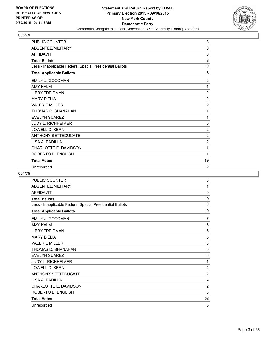

| PUBLIC COUNTER                                           | 3              |
|----------------------------------------------------------|----------------|
| ABSENTEE/MILITARY                                        | 0              |
| AFFIDAVIT                                                | 0              |
| <b>Total Ballots</b>                                     | 3              |
| Less - Inapplicable Federal/Special Presidential Ballots | 0              |
| <b>Total Applicable Ballots</b>                          | 3              |
| EMILY J. GOODMAN                                         | $\overline{c}$ |
| <b>AMY KALM</b>                                          | 1              |
| <b>LIBBY FREIDMAN</b>                                    | $\overline{2}$ |
| <b>MARY D'ELIA</b>                                       | 2              |
| <b>VALERIE MILLER</b>                                    | $\overline{2}$ |
| THOMAS D. SHANAHAN                                       | 1              |
| <b>EVELYN SUAREZ</b>                                     | 1              |
| <b>JUDY L. RICHHEIMER</b>                                | 0              |
| LOWELL D. KERN                                           | $\overline{2}$ |
| <b>ANTHONY SETTEDUCATE</b>                               | $\overline{2}$ |
| LISA A. PADILLA                                          | $\overline{2}$ |
| CHARLOTTE E. DAVIDSON                                    | 1              |
| ROBERTO B. ENGLISH                                       | 1              |
| <b>Total Votes</b>                                       | 19             |
| Unrecorded                                               | $\overline{2}$ |

| PUBLIC COUNTER                                           | 8              |
|----------------------------------------------------------|----------------|
| ABSENTEE/MILITARY                                        | 1              |
| <b>AFFIDAVIT</b>                                         | 0              |
| <b>Total Ballots</b>                                     | 9              |
| Less - Inapplicable Federal/Special Presidential Ballots | $\mathbf 0$    |
| <b>Total Applicable Ballots</b>                          | 9              |
| EMILY J. GOODMAN                                         | $\overline{7}$ |
| <b>AMY KALM</b>                                          | 5              |
| <b>LIBBY FREIDMAN</b>                                    | 6              |
| <b>MARY D'ELIA</b>                                       | 5              |
| <b>VALERIE MILLER</b>                                    | 8              |
| THOMAS D. SHANAHAN                                       | 5              |
| <b>EVELYN SUAREZ</b>                                     | 6              |
| <b>JUDY L. RICHHEIMER</b>                                | 1              |
| LOWELL D. KERN                                           | 4              |
| <b>ANTHONY SETTEDUCATE</b>                               | $\overline{2}$ |
| LISA A. PADILLA                                          | 4              |
| CHARLOTTE E. DAVIDSON                                    | $\overline{2}$ |
| ROBERTO B. ENGLISH                                       | 3              |
| <b>Total Votes</b>                                       | 58             |
| Unrecorded                                               | 5              |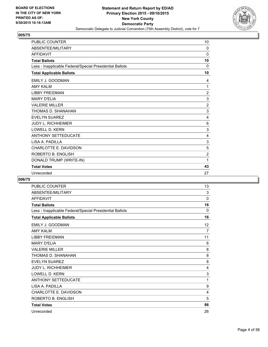

| <b>PUBLIC COUNTER</b>                                    | 10             |
|----------------------------------------------------------|----------------|
| ABSENTEE/MILITARY                                        | $\mathbf{0}$   |
| <b>AFFIDAVIT</b>                                         | $\Omega$       |
| <b>Total Ballots</b>                                     | 10             |
| Less - Inapplicable Federal/Special Presidential Ballots | $\Omega$       |
| <b>Total Applicable Ballots</b>                          | 10             |
| <b>EMILY J. GOODMAN</b>                                  | 4              |
| <b>AMY KALM</b>                                          | 1              |
| <b>LIBBY FREIDMAN</b>                                    | $\overline{2}$ |
| <b>MARY D'ELIA</b>                                       | 3              |
| <b>VALERIE MILLER</b>                                    | $\overline{2}$ |
| THOMAS D. SHANAHAN                                       | 3              |
| <b>EVELYN SUAREZ</b>                                     | 4              |
| <b>JUDY L. RICHHEIMER</b>                                | 6              |
| <b>LOWELL D. KERN</b>                                    | 3              |
| <b>ANTHONY SETTEDUCATE</b>                               | 4              |
| LISA A. PADILLA                                          | 3              |
| CHARLOTTE E. DAVIDSON                                    | 5              |
| ROBERTO B. ENGLISH                                       | $\overline{2}$ |
| DONALD TRUMP (WRITE-IN)                                  | 1              |
| <b>Total Votes</b>                                       | 43             |
| Unrecorded                                               | 27             |

| <b>PUBLIC COUNTER</b>                                    | 13             |
|----------------------------------------------------------|----------------|
| ABSENTEE/MILITARY                                        | 3              |
| <b>AFFIDAVIT</b>                                         | $\mathbf 0$    |
| <b>Total Ballots</b>                                     | 16             |
| Less - Inapplicable Federal/Special Presidential Ballots | 0              |
| <b>Total Applicable Ballots</b>                          | 16             |
| EMILY J. GOODMAN                                         | 12             |
| <b>AMY KALM</b>                                          | $\overline{7}$ |
| <b>LIBBY FREIDMAN</b>                                    | 11             |
| <b>MARY D'ELIA</b>                                       | 6              |
| <b>VALERIE MILLER</b>                                    | 8              |
| THOMAS D. SHANAHAN                                       | 8              |
| <b>EVELYN SUAREZ</b>                                     | 8              |
| <b>JUDY L. RICHHEIMER</b>                                | 4              |
| <b>LOWELL D. KERN</b>                                    | 3              |
| <b>ANTHONY SETTEDUCATE</b>                               | 1              |
| LISA A. PADILLA                                          | 9              |
| CHARLOTTE E. DAVIDSON                                    | 4              |
| ROBERTO B. ENGLISH                                       | 5              |
| <b>Total Votes</b>                                       | 86             |
| Unrecorded                                               | 26             |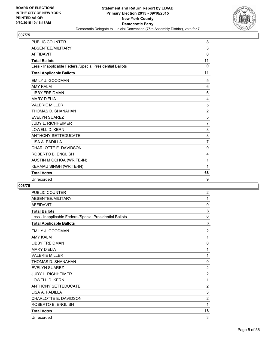

| <b>PUBLIC COUNTER</b>                                    | 8              |
|----------------------------------------------------------|----------------|
| ABSENTEE/MILITARY                                        | 3              |
| <b>AFFIDAVIT</b>                                         | 0              |
| <b>Total Ballots</b>                                     | 11             |
| Less - Inapplicable Federal/Special Presidential Ballots | 0              |
| <b>Total Applicable Ballots</b>                          | 11             |
| <b>EMILY J. GOODMAN</b>                                  | 5              |
| <b>AMY KALM</b>                                          | 6              |
| <b>LIBBY FREIDMAN</b>                                    | 6              |
| <b>MARY D'ELIA</b>                                       | 4              |
| <b>VALERIE MILLER</b>                                    | 5              |
| THOMAS D. SHANAHAN                                       | $\overline{2}$ |
| <b>EVELYN SUAREZ</b>                                     | 5              |
| <b>JUDY L. RICHHEIMER</b>                                | $\overline{7}$ |
| <b>LOWELL D. KERN</b>                                    | 3              |
| <b>ANTHONY SETTEDUCATE</b>                               | $\mathsf 3$    |
| LISA A. PADILLA                                          | $\overline{7}$ |
| CHARLOTTE E. DAVIDSON                                    | 9              |
| ROBERTO B. ENGLISH                                       | 4              |
| AUSTIN M OCHOA (WRITE-IN)                                | 1              |
| KERMAU SINGH (WRITE-IN)                                  | 1              |
| <b>Total Votes</b>                                       | 68             |
| Unrecorded                                               | 9              |

| <b>PUBLIC COUNTER</b>                                    | $\overline{2}$ |
|----------------------------------------------------------|----------------|
| ABSENTEE/MILITARY                                        | 1              |
| <b>AFFIDAVIT</b>                                         | 0              |
| <b>Total Ballots</b>                                     | 3              |
| Less - Inapplicable Federal/Special Presidential Ballots | $\mathbf 0$    |
| <b>Total Applicable Ballots</b>                          | 3              |
| <b>EMILY J. GOODMAN</b>                                  | $\overline{2}$ |
| <b>AMY KALM</b>                                          | 1              |
| <b>LIBBY FREIDMAN</b>                                    | 0              |
| <b>MARY D'ELIA</b>                                       | 1              |
| <b>VALERIE MILLER</b>                                    | 1              |
| THOMAS D. SHANAHAN                                       | 0              |
| <b>EVELYN SUAREZ</b>                                     | $\overline{2}$ |
| <b>JUDY L. RICHHEIMER</b>                                | $\overline{2}$ |
| LOWELL D. KERN                                           | 1              |
| <b>ANTHONY SETTEDUCATE</b>                               | $\overline{2}$ |
| LISA A. PADILLA                                          | 3              |
| <b>CHARLOTTE E. DAVIDSON</b>                             | $\overline{2}$ |
| ROBERTO B. ENGLISH                                       | 1              |
| <b>Total Votes</b>                                       | 18             |
| Unrecorded                                               | 3              |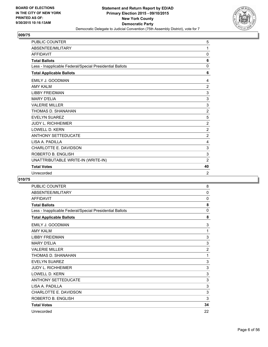

| PUBLIC COUNTER                                           | 5              |
|----------------------------------------------------------|----------------|
| ABSENTEE/MILITARY                                        | 1              |
| <b>AFFIDAVIT</b>                                         | 0              |
| <b>Total Ballots</b>                                     | 6              |
| Less - Inapplicable Federal/Special Presidential Ballots | 0              |
| <b>Total Applicable Ballots</b>                          | 6              |
| EMILY J. GOODMAN                                         | 4              |
| <b>AMY KAI M</b>                                         | $\overline{2}$ |
| <b>LIBBY FREIDMAN</b>                                    | 3              |
| <b>MARY D'ELIA</b>                                       | 3              |
| <b>VALERIE MILLER</b>                                    | 3              |
| THOMAS D. SHANAHAN                                       | $\overline{2}$ |
| <b>EVELYN SUAREZ</b>                                     | 5              |
| <b>JUDY L. RICHHEIMER</b>                                | $\overline{2}$ |
| <b>LOWELL D. KERN</b>                                    | $\overline{2}$ |
| <b>ANTHONY SETTEDUCATE</b>                               | 2              |
| LISA A. PADILLA                                          | 4              |
| CHARLOTTE E. DAVIDSON                                    | 3              |
| ROBERTO B. ENGLISH                                       | 3              |
| UNATTRIBUTABLE WRITE-IN (WRITE-IN)                       | $\overline{2}$ |
| <b>Total Votes</b>                                       | 40             |
| Unrecorded                                               | $\overline{2}$ |

| PUBLIC COUNTER                                           | 8              |
|----------------------------------------------------------|----------------|
| ABSENTEE/MILITARY                                        | 0              |
| <b>AFFIDAVIT</b>                                         | 0              |
| <b>Total Ballots</b>                                     | 8              |
| Less - Inapplicable Federal/Special Presidential Ballots | 0              |
| <b>Total Applicable Ballots</b>                          | 8              |
| EMILY J. GOODMAN                                         | 3              |
| <b>AMY KALM</b>                                          | 1              |
| <b>LIBBY FREIDMAN</b>                                    | 3              |
| <b>MARY D'FI IA</b>                                      | 3              |
| <b>VALERIE MILLER</b>                                    | $\overline{2}$ |
| THOMAS D. SHANAHAN                                       | 1              |
| EVELYN SUAREZ                                            | 3              |
| <b>JUDY L. RICHHEIMER</b>                                | 3              |
| <b>LOWELL D. KERN</b>                                    | 3              |
| <b>ANTHONY SETTEDUCATE</b>                               | 3              |
| LISA A. PADILLA                                          | 3              |
| CHARLOTTE E. DAVIDSON                                    | 3              |
| ROBERTO B. ENGLISH                                       | 3              |
| <b>Total Votes</b>                                       | 34             |
| Unrecorded                                               | 22             |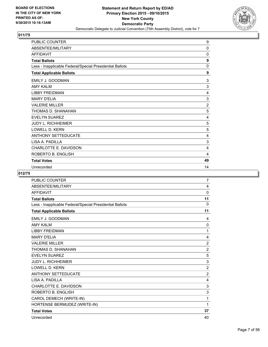

| PUBLIC COUNTER                                           | 9              |
|----------------------------------------------------------|----------------|
| ABSENTEE/MILITARY                                        | 0              |
| <b>AFFIDAVIT</b>                                         | 0              |
| <b>Total Ballots</b>                                     | 9              |
| Less - Inapplicable Federal/Special Presidential Ballots | 0              |
| <b>Total Applicable Ballots</b>                          | 9              |
| EMILY J. GOODMAN                                         | 3              |
| <b>AMY KALM</b>                                          | 3              |
| <b>LIBBY FREIDMAN</b>                                    | 4              |
| <b>MARY D'ELIA</b>                                       | 3              |
| <b>VALERIE MILLER</b>                                    | $\overline{2}$ |
| THOMAS D. SHANAHAN                                       | 5              |
| <b>EVELYN SUAREZ</b>                                     | 4              |
| <b>JUDY L. RICHHEIMER</b>                                | 5              |
| LOWELL D. KERN                                           | 5              |
| ANTHONY SETTEDUCATE                                      | 4              |
| LISA A. PADILLA                                          | 3              |
| CHARLOTTE E. DAVIDSON                                    | 4              |
| ROBERTO B. ENGLISH                                       | 4              |
| <b>Total Votes</b>                                       | 49             |
| Unrecorded                                               | 14             |

| PUBLIC COUNTER                                           | 7              |
|----------------------------------------------------------|----------------|
| ABSENTEE/MILITARY                                        | 4              |
| <b>AFFIDAVIT</b>                                         | $\mathbf 0$    |
| <b>Total Ballots</b>                                     | 11             |
| Less - Inapplicable Federal/Special Presidential Ballots | 0              |
| <b>Total Applicable Ballots</b>                          | 11             |
| <b>EMILY J. GOODMAN</b>                                  | 4              |
| <b>AMY KALM</b>                                          | $\mathbf 0$    |
| <b>LIBBY FREIDMAN</b>                                    | 1              |
| <b>MARY D'ELIA</b>                                       | 4              |
| <b>VALERIE MILLER</b>                                    | $\overline{2}$ |
| THOMAS D. SHANAHAN                                       | 2              |
| <b>EVELYN SUAREZ</b>                                     | 5              |
| <b>JUDY L. RICHHEIMER</b>                                | $\mathbf{3}$   |
| <b>LOWELL D. KERN</b>                                    | $\overline{2}$ |
| <b>ANTHONY SETTEDUCATE</b>                               | $\overline{2}$ |
| LISA A. PADILLA                                          | $\overline{4}$ |
| CHARLOTTE E. DAVIDSON                                    | 3              |
| ROBERTO B. ENGLISH                                       | $\mathbf{3}$   |
| CAROL DEMECH (WRITE-IN)                                  | 1              |
| HORTENSE BERMUDEZ (WRITE-IN)                             | 1              |
| <b>Total Votes</b>                                       | 37             |
| Unrecorded                                               | 40             |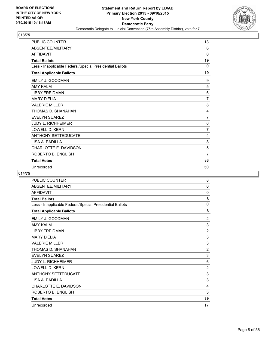

| PUBLIC COUNTER                                           | 13 |
|----------------------------------------------------------|----|
| ABSENTEE/MILITARY                                        | 6  |
| AFFIDAVIT                                                | 0  |
| <b>Total Ballots</b>                                     | 19 |
| Less - Inapplicable Federal/Special Presidential Ballots | 0  |
| <b>Total Applicable Ballots</b>                          | 19 |
| EMILY J. GOODMAN                                         | 9  |
| <b>AMY KALM</b>                                          | 5  |
| <b>LIBBY FREIDMAN</b>                                    | 6  |
| <b>MARY D'ELIA</b>                                       | 7  |
| <b>VALERIE MILLER</b>                                    | 8  |
| THOMAS D. SHANAHAN                                       | 4  |
| <b>EVELYN SUAREZ</b>                                     | 7  |
| <b>JUDY L. RICHHEIMER</b>                                | 6  |
| <b>LOWELL D. KERN</b>                                    | 7  |
| <b>ANTHONY SETTEDUCATE</b>                               | 4  |
| LISA A. PADILLA                                          | 8  |
| <b>CHARLOTTE E. DAVIDSON</b>                             | 5  |
| ROBERTO B. ENGLISH                                       | 7  |
| <b>Total Votes</b>                                       | 83 |
| Unrecorded                                               | 50 |

| PUBLIC COUNTER                                           | 8              |
|----------------------------------------------------------|----------------|
| ABSENTEE/MILITARY                                        | 0              |
| <b>AFFIDAVIT</b>                                         | 0              |
| <b>Total Ballots</b>                                     | 8              |
| Less - Inapplicable Federal/Special Presidential Ballots | 0              |
| <b>Total Applicable Ballots</b>                          | 8              |
| EMILY J. GOODMAN                                         | $\overline{2}$ |
| <b>AMY KALM</b>                                          | 3              |
| <b>LIBBY FREIDMAN</b>                                    | $\overline{2}$ |
| <b>MARY D'ELIA</b>                                       | 3              |
| <b>VALERIE MILLER</b>                                    | 3              |
| THOMAS D. SHANAHAN                                       | $\overline{2}$ |
| <b>EVELYN SUAREZ</b>                                     | 3              |
| <b>JUDY L. RICHHEIMER</b>                                | 6              |
| <b>LOWELL D. KERN</b>                                    | $\overline{2}$ |
| <b>ANTHONY SETTEDUCATE</b>                               | 3              |
| LISA A. PADILLA                                          | 3              |
| CHARLOTTE E. DAVIDSON                                    | 4              |
| ROBERTO B. ENGLISH                                       | 3              |
| <b>Total Votes</b>                                       | 39             |
| Unrecorded                                               | 17             |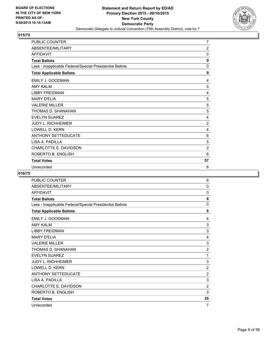

| PUBLIC COUNTER                                           | 7              |
|----------------------------------------------------------|----------------|
| ABSENTEE/MILITARY                                        | $\overline{2}$ |
| <b>AFFIDAVIT</b>                                         | $\mathbf{0}$   |
| <b>Total Ballots</b>                                     | 9              |
| Less - Inapplicable Federal/Special Presidential Ballots | 0              |
| <b>Total Applicable Ballots</b>                          | 9              |
| EMILY J. GOODMAN                                         | 4              |
| <b>AMY KALM</b>                                          | 5              |
| <b>LIBBY FREIDMAN</b>                                    | 4              |
| <b>MARY D'ELIA</b>                                       | 5              |
| <b>VALERIE MILLER</b>                                    | 5              |
| THOMAS D. SHANAHAN                                       | 5              |
| <b>EVELYN SUAREZ</b>                                     | 4              |
| <b>JUDY L. RICHHEIMER</b>                                | $\overline{c}$ |
| LOWELL D. KERN                                           | 4              |
| <b>ANTHONY SETTEDUCATE</b>                               | 6              |
| LISA A. PADILLA                                          | 5              |
| <b>CHARLOTTE E. DAVIDSON</b>                             | $\overline{2}$ |
| ROBERTO B. ENGLISH                                       | 6              |
| <b>Total Votes</b>                                       | 57             |
| Unrecorded                                               | 6              |

| PUBLIC COUNTER                                           | 6              |
|----------------------------------------------------------|----------------|
| ABSENTEE/MILITARY                                        | 0              |
| <b>AFFIDAVIT</b>                                         | 0              |
| <b>Total Ballots</b>                                     | 6              |
| Less - Inapplicable Federal/Special Presidential Ballots | 0              |
| <b>Total Applicable Ballots</b>                          | 6              |
| <b>EMILY J. GOODMAN</b>                                  | 4              |
| <b>AMY KALM</b>                                          | 3              |
| <b>LIBBY FREIDMAN</b>                                    | 3              |
| <b>MARY D'ELIA</b>                                       | 4              |
| <b>VALERIE MILLER</b>                                    | 3              |
| THOMAS D. SHANAHAN                                       | $\overline{2}$ |
| <b>EVELYN SUAREZ</b>                                     | 1              |
| <b>JUDY L. RICHHEIMER</b>                                | 3              |
| <b>LOWELL D. KERN</b>                                    | $\overline{c}$ |
| <b>ANTHONY SETTEDUCATE</b>                               | $\overline{2}$ |
| LISA A. PADILLA                                          | 3              |
| CHARLOTTE E. DAVIDSON                                    | $\overline{2}$ |
| ROBERTO B. ENGLISH                                       | 3              |
| <b>Total Votes</b>                                       | 35             |
| Unrecorded                                               | $\overline{7}$ |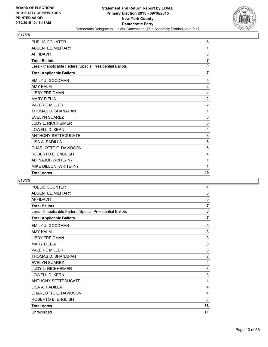

| <b>PUBLIC COUNTER</b>                                    | 6              |
|----------------------------------------------------------|----------------|
| ABSENTEE/MILITARY                                        | 1              |
| <b>AFFIDAVIT</b>                                         | $\mathbf 0$    |
| <b>Total Ballots</b>                                     | $\overline{7}$ |
| Less - Inapplicable Federal/Special Presidential Ballots | $\Omega$       |
| <b>Total Applicable Ballots</b>                          | $\overline{7}$ |
| EMILY J. GOODMAN                                         | 5              |
| <b>AMY KALM</b>                                          | $\overline{2}$ |
| <b>LIBBY FREIDMAN</b>                                    | 4              |
| <b>MARY D'ELIA</b>                                       | $\overline{2}$ |
| <b>VALERIE MILLER</b>                                    | $\overline{2}$ |
| THOMAS D. SHANAHAN                                       | 1              |
| <b>EVELYN SUAREZ</b>                                     | 5              |
| <b>JUDY L. RICHHEIMER</b>                                | 5              |
| <b>LOWELL D. KERN</b>                                    | 4              |
| <b>ANTHONY SETTEDUCATE</b>                               | 3              |
| LISA A. PADILLA                                          | 5              |
| CHARLOTTE E. DAVIDSON                                    | 5              |
| ROBERTO B. ENGLISH                                       | 4              |
| ALI NAJMI (WRITE-IN)                                     | 1              |
| MIKE DILLON (WRITE-IN)                                   | 1              |
| <b>Total Votes</b>                                       | 49             |

| <b>PUBLIC COUNTER</b>                                    | 4              |
|----------------------------------------------------------|----------------|
| ABSENTEE/MILITARY                                        | 3              |
| <b>AFFIDAVIT</b>                                         | 0              |
| <b>Total Ballots</b>                                     | 7              |
| Less - Inapplicable Federal/Special Presidential Ballots | 0              |
| <b>Total Applicable Ballots</b>                          | $\overline{7}$ |
| EMILY J. GOODMAN                                         | 5              |
| AMY KAI M                                                | 3              |
| <b>LIBBY FREIDMAN</b>                                    | 3              |
| <b>MARY D'ELIA</b>                                       | 0              |
| <b>VALERIE MILLER</b>                                    | 3              |
| THOMAS D. SHANAHAN                                       | $\overline{2}$ |
| <b>EVELYN SUAREZ</b>                                     | 4              |
| <b>JUDY L. RICHHEIMER</b>                                | 3              |
| LOWELL D. KERN                                           | 3              |
| <b>ANTHONY SETTEDUCATE</b>                               | 1              |
| LISA A. PADILLA                                          | 4              |
| CHARLOTTE E. DAVIDSON                                    | 4              |
| ROBERTO B. ENGLISH                                       | 3              |
| <b>Total Votes</b>                                       | 38             |
| Unrecorded                                               | 11             |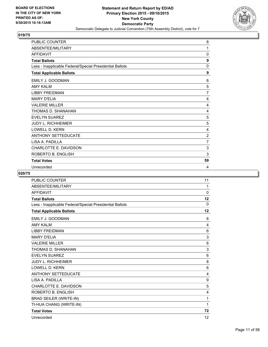

| PUBLIC COUNTER                                           | 8              |
|----------------------------------------------------------|----------------|
| ABSENTEE/MILITARY                                        | 1              |
| AFFIDAVIT                                                | 0              |
| <b>Total Ballots</b>                                     | 9              |
| Less - Inapplicable Federal/Special Presidential Ballots | 0              |
| <b>Total Applicable Ballots</b>                          | 9              |
| EMILY J. GOODMAN                                         | 6              |
| <b>AMY KALM</b>                                          | 5              |
| <b>LIBBY FREIDMAN</b>                                    | 7              |
| <b>MARY D'ELIA</b>                                       | 4              |
| <b>VALERIE MILLER</b>                                    | 4              |
| THOMAS D. SHANAHAN                                       | 4              |
| <b>EVELYN SUAREZ</b>                                     | 5              |
| <b>JUDY L. RICHHEIMER</b>                                | 5              |
| <b>LOWELL D. KERN</b>                                    | 4              |
| <b>ANTHONY SETTEDUCATE</b>                               | $\overline{2}$ |
| LISA A. PADILLA                                          | 7              |
| <b>CHARLOTTE E. DAVIDSON</b>                             | 3              |
| ROBERTO B. ENGLISH                                       | 3              |
| <b>Total Votes</b>                                       | 59             |
| Unrecorded                                               | 4              |

| <b>PUBLIC COUNTER</b>                                    | 11          |
|----------------------------------------------------------|-------------|
| ABSENTEE/MILITARY                                        | 1           |
| <b>AFFIDAVIT</b>                                         | 0           |
| <b>Total Ballots</b>                                     | 12          |
| Less - Inapplicable Federal/Special Presidential Ballots | 0           |
| <b>Total Applicable Ballots</b>                          | 12          |
| EMILY J. GOODMAN                                         | 6           |
| <b>AMY KALM</b>                                          | 4           |
| <b>LIBBY FREIDMAN</b>                                    | 6           |
| <b>MARY D'ELIA</b>                                       | 3           |
| <b>VALERIE MILLER</b>                                    | 6           |
| THOMAS D. SHANAHAN                                       | $\mathsf 3$ |
| <b>EVELYN SUAREZ</b>                                     | 6           |
| <b>JUDY L. RICHHEIMER</b>                                | 8           |
| <b>LOWELL D. KERN</b>                                    | 6           |
| <b>ANTHONY SETTEDUCATE</b>                               | 4           |
| LISA A. PADILLA                                          | 9           |
| CHARLOTTE E. DAVIDSON                                    | 5           |
| ROBERTO B. ENGLISH                                       | 4           |
| <b>BRAD SEILER (WRITE-IN)</b>                            | 1           |
| TI-HUA CHANG (WRITE-IN)                                  | 1           |
| <b>Total Votes</b>                                       | 72          |
| Unrecorded                                               | 12          |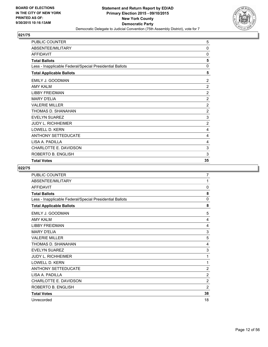

| PUBLIC COUNTER                                           | 5              |
|----------------------------------------------------------|----------------|
| ABSENTEE/MILITARY                                        | 0              |
| AFFIDAVIT                                                | 0              |
| <b>Total Ballots</b>                                     | 5              |
| Less - Inapplicable Federal/Special Presidential Ballots | 0              |
| <b>Total Applicable Ballots</b>                          | 5              |
| EMILY J. GOODMAN                                         | 2              |
| AMY KAI M                                                | 2              |
| <b>LIBBY FREIDMAN</b>                                    | 2              |
| MARY D'FI IA                                             | 2              |
| <b>VALERIE MILLER</b>                                    | 2              |
| THOMAS D. SHANAHAN                                       | 2              |
| <b>EVELYN SUAREZ</b>                                     | 3              |
| <b>JUDY L. RICHHEIMER</b>                                | $\overline{2}$ |
| LOWELL D. KERN                                           | 4              |
| ANTHONY SETTEDUCATE                                      | 4              |
| LISA A. PADILLA                                          | 4              |
| <b>CHARLOTTE E. DAVIDSON</b>                             | 3              |
| ROBERTO B. ENGLISH                                       | 3              |
| <b>Total Votes</b>                                       | 35             |

| <b>PUBLIC COUNTER</b>                                    | $\overline{7}$ |
|----------------------------------------------------------|----------------|
| ABSENTEE/MILITARY                                        | 1              |
| <b>AFFIDAVIT</b>                                         | $\mathbf{0}$   |
| <b>Total Ballots</b>                                     | 8              |
| Less - Inapplicable Federal/Special Presidential Ballots | $\mathbf{0}$   |
| <b>Total Applicable Ballots</b>                          | 8              |
| EMILY J. GOODMAN                                         | 5              |
| <b>AMY KALM</b>                                          | 4              |
| <b>LIBBY FREIDMAN</b>                                    | 4              |
| <b>MARY D'ELIA</b>                                       | 3              |
| <b>VALERIE MILLER</b>                                    | 5              |
| THOMAS D. SHANAHAN                                       | 4              |
| <b>EVELYN SUAREZ</b>                                     | 3              |
| <b>JUDY L. RICHHEIMER</b>                                | 1              |
| <b>LOWELL D. KERN</b>                                    | 1              |
| <b>ANTHONY SETTEDUCATE</b>                               | $\overline{2}$ |
| LISA A. PADILLA                                          | $\overline{2}$ |
| CHARLOTTE E. DAVIDSON                                    | $\overline{2}$ |
| ROBERTO B. ENGLISH                                       | $\overline{2}$ |
| <b>Total Votes</b>                                       | 38             |
| Unrecorded                                               | 18             |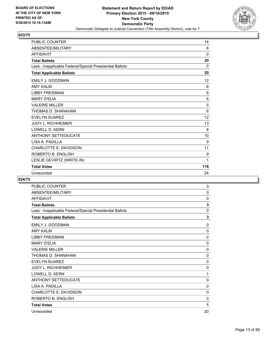

| <b>PUBLIC COUNTER</b>                                    | 14           |
|----------------------------------------------------------|--------------|
| ABSENTEE/MILITARY                                        | 6            |
| <b>AFFIDAVIT</b>                                         | $\mathbf{0}$ |
| <b>Total Ballots</b>                                     | 20           |
| Less - Inapplicable Federal/Special Presidential Ballots | 0            |
| <b>Total Applicable Ballots</b>                          | 20           |
| <b>EMILY J. GOODMAN</b>                                  | 12           |
| AMY KAI M                                                | 6            |
| <b>LIBBY FREIDMAN</b>                                    | 8            |
| <b>MARY D'ELIA</b>                                       | 6            |
| <b>VALERIE MILLER</b>                                    | 5            |
| THOMAS D. SHANAHAN                                       | 6            |
| <b>EVELYN SUAREZ</b>                                     | 12           |
| <b>JUDY L. RICHHEIMER</b>                                | 13           |
| <b>LOWELL D. KERN</b>                                    | 8            |
| <b>ANTHONY SETTEDUCATE</b>                               | 10           |
| LISA A. PADILLA                                          | 9            |
| CHARLOTTE E. DAVIDSON                                    | 11           |
| ROBERTO B. ENGLISH                                       | 9            |
| LESLIE GEVIRTZ (WRITE-IN)                                | 1            |
| <b>Total Votes</b>                                       | 116          |
| Unrecorded                                               | 24           |

| <b>PUBLIC COUNTER</b>                                    | 3           |
|----------------------------------------------------------|-------------|
| ABSENTEE/MILITARY                                        | 0           |
| <b>AFFIDAVIT</b>                                         | 0           |
| <b>Total Ballots</b>                                     | 3           |
| Less - Inapplicable Federal/Special Presidential Ballots | $\mathbf 0$ |
| <b>Total Applicable Ballots</b>                          | 3           |
| EMILY J. GOODMAN                                         | 0           |
| <b>AMY KALM</b>                                          | 0           |
| <b>LIBBY FREIDMAN</b>                                    | 0           |
| <b>MARY D'ELIA</b>                                       | $\mathbf 0$ |
| <b>VALERIE MILLER</b>                                    | $\mathbf 0$ |
| THOMAS D. SHANAHAN                                       | $\mathbf 0$ |
| <b>EVELYN SUAREZ</b>                                     | 0           |
| <b>JUDY L. RICHHEIMER</b>                                | 0           |
| <b>LOWELL D. KERN</b>                                    | 1           |
| <b>ANTHONY SETTEDUCATE</b>                               | 0           |
| LISA A. PADILLA                                          | 0           |
| <b>CHARLOTTE E. DAVIDSON</b>                             | $\mathbf 0$ |
| ROBERTO B. ENGLISH                                       | $\mathbf 0$ |
| <b>Total Votes</b>                                       | 1           |
| Unrecorded                                               | 20          |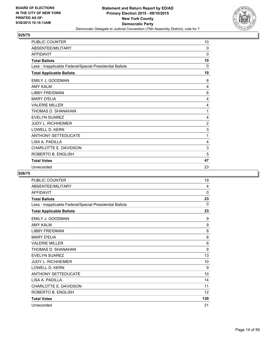

| PUBLIC COUNTER                                           | 10             |
|----------------------------------------------------------|----------------|
| ABSENTEE/MILITARY                                        | $\mathbf{0}$   |
| <b>AFFIDAVIT</b>                                         | 0              |
| <b>Total Ballots</b>                                     | 10             |
| Less - Inapplicable Federal/Special Presidential Ballots | 0              |
| <b>Total Applicable Ballots</b>                          | 10             |
| EMILY J. GOODMAN                                         | 6              |
| <b>AMY KALM</b>                                          | 4              |
| <b>LIBBY FREIDMAN</b>                                    | 6              |
| <b>MARY D'ELIA</b>                                       | 4              |
| <b>VALERIE MILLER</b>                                    | 4              |
| THOMAS D. SHANAHAN                                       | 1              |
| <b>EVELYN SUAREZ</b>                                     | 4              |
| <b>JUDY L. RICHHEIMER</b>                                | $\overline{2}$ |
| <b>LOWELL D. KERN</b>                                    | 3              |
| <b>ANTHONY SETTEDUCATE</b>                               | 1              |
| LISA A. PADILLA                                          | 4              |
| CHARLOTTE E. DAVIDSON                                    | 3              |
| ROBERTO B. ENGLISH                                       | 5              |
| <b>Total Votes</b>                                       | 47             |
| Unrecorded                                               | 23             |

| PUBLIC COUNTER                                           | 19  |
|----------------------------------------------------------|-----|
| ABSENTEE/MILITARY                                        | 4   |
| <b>AFFIDAVIT</b>                                         | 0   |
| <b>Total Ballots</b>                                     | 23  |
| Less - Inapplicable Federal/Special Presidential Ballots | 0   |
| <b>Total Applicable Ballots</b>                          | 23  |
| EMILY J. GOODMAN                                         | 9   |
| <b>AMY KALM</b>                                          | 9   |
| <b>LIBBY FREIDMAN</b>                                    | 8   |
| <b>MARY D'ELIA</b>                                       | 8   |
| <b>VALERIE MILLER</b>                                    | 8   |
| THOMAS D. SHANAHAN                                       | 9   |
| <b>EVELYN SUAREZ</b>                                     | 13  |
| <b>JUDY L. RICHHEIMER</b>                                | 10  |
| <b>LOWELL D. KERN</b>                                    | 9   |
| <b>ANTHONY SETTEDUCATE</b>                               | 10  |
| LISA A. PADILLA                                          | 14  |
| CHARLOTTE E. DAVIDSON                                    | 11  |
| ROBERTO B. ENGLISH                                       | 12  |
| <b>Total Votes</b>                                       | 130 |
| Unrecorded                                               | 31  |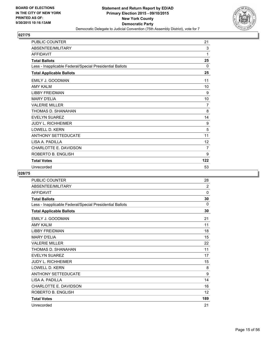

| <b>PUBLIC COUNTER</b>                                    | 21  |
|----------------------------------------------------------|-----|
| ABSENTEE/MILITARY                                        | 3   |
| <b>AFFIDAVIT</b>                                         | 1   |
| <b>Total Ballots</b>                                     | 25  |
| Less - Inapplicable Federal/Special Presidential Ballots | 0   |
| <b>Total Applicable Ballots</b>                          | 25  |
| EMILY J. GOODMAN                                         | 11  |
| <b>AMY KAI M</b>                                         | 10  |
| <b>LIBBY FREIDMAN</b>                                    | 9   |
| <b>MARY D'ELIA</b>                                       | 10  |
| <b>VALERIE MILLER</b>                                    | 7   |
| THOMAS D. SHANAHAN                                       | 8   |
| <b>EVELYN SUAREZ</b>                                     | 14  |
| <b>JUDY L. RICHHEIMER</b>                                | 9   |
| <b>LOWELL D. KERN</b>                                    | 5   |
| <b>ANTHONY SETTEDUCATE</b>                               | 11  |
| LISA A. PADILLA                                          | 12  |
| CHARLOTTE E. DAVIDSON                                    | 7   |
| ROBERTO B. ENGLISH                                       | 9   |
| <b>Total Votes</b>                                       | 122 |
| Unrecorded                                               | 53  |

| <b>PUBLIC COUNTER</b>                                    | 28             |
|----------------------------------------------------------|----------------|
| ABSENTEE/MILITARY                                        | $\overline{2}$ |
| <b>AFFIDAVIT</b>                                         | $\mathbf 0$    |
| <b>Total Ballots</b>                                     | 30             |
| Less - Inapplicable Federal/Special Presidential Ballots | 0              |
| <b>Total Applicable Ballots</b>                          | 30             |
| EMILY J. GOODMAN                                         | 21             |
| <b>AMY KALM</b>                                          | 11             |
| <b>LIBBY FREIDMAN</b>                                    | 18             |
| <b>MARY D'ELIA</b>                                       | 15             |
| <b>VALERIE MILLER</b>                                    | 22             |
| THOMAS D. SHANAHAN                                       | 11             |
| <b>EVELYN SUAREZ</b>                                     | 17             |
| <b>JUDY L. RICHHEIMER</b>                                | 15             |
| <b>LOWELL D. KERN</b>                                    | 8              |
| <b>ANTHONY SETTEDUCATE</b>                               | 9              |
| LISA A. PADILLA                                          | 14             |
| CHARLOTTE E. DAVIDSON                                    | 16             |
| ROBERTO B. ENGLISH                                       | 12             |
| <b>Total Votes</b>                                       | 189            |
| Unrecorded                                               | 21             |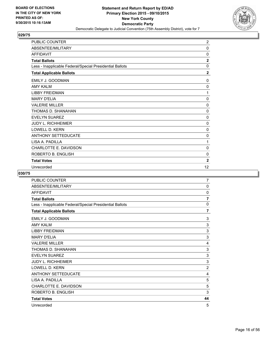

| PUBLIC COUNTER                                           | $\overline{2}$ |
|----------------------------------------------------------|----------------|
| ABSENTEE/MILITARY                                        | 0              |
| <b>AFFIDAVIT</b>                                         | 0              |
| <b>Total Ballots</b>                                     | $\overline{2}$ |
| Less - Inapplicable Federal/Special Presidential Ballots | 0              |
| <b>Total Applicable Ballots</b>                          | $\overline{2}$ |
| EMILY J. GOODMAN                                         | 0              |
| <b>AMY KALM</b>                                          | 0              |
| <b>LIBBY FREIDMAN</b>                                    | 1              |
| <b>MARY D'ELIA</b>                                       | 0              |
| <b>VALERIE MILLER</b>                                    | 0              |
| THOMAS D. SHANAHAN                                       | 0              |
| <b>EVELYN SUAREZ</b>                                     | 0              |
| <b>JUDY L. RICHHEIMER</b>                                | 0              |
| LOWELL D. KERN                                           | 0              |
| <b>ANTHONY SETTEDUCATE</b>                               | 0              |
| LISA A. PADILLA                                          | 1              |
| CHARLOTTE E. DAVIDSON                                    | 0              |
| ROBERTO B. ENGLISH                                       | $\Omega$       |
| <b>Total Votes</b>                                       | $\mathbf{2}$   |
| Unrecorded                                               | 12             |

| PUBLIC COUNTER                                           | $\overline{7}$ |
|----------------------------------------------------------|----------------|
| ABSENTEE/MILITARY                                        | 0              |
| <b>AFFIDAVIT</b>                                         | 0              |
| <b>Total Ballots</b>                                     | $\overline{7}$ |
| Less - Inapplicable Federal/Special Presidential Ballots | 0              |
| <b>Total Applicable Ballots</b>                          | $\overline{7}$ |
| EMILY J. GOODMAN                                         | 3              |
| <b>AMY KALM</b>                                          | 3              |
| <b>LIBBY FREIDMAN</b>                                    | 3              |
| <b>MARY D'ELIA</b>                                       | 3              |
| <b>VALERIE MILLER</b>                                    | 4              |
| THOMAS D. SHANAHAN                                       | 3              |
| <b>EVELYN SUAREZ</b>                                     | 3              |
| <b>JUDY L. RICHHEIMER</b>                                | 3              |
| LOWELL D. KERN                                           | $\overline{c}$ |
| <b>ANTHONY SETTEDUCATE</b>                               | 4              |
| LISA A. PADILLA                                          | 5              |
| CHARLOTTE E. DAVIDSON                                    | 5              |
| ROBERTO B. ENGLISH                                       | 3              |
| <b>Total Votes</b>                                       | 44             |
| Unrecorded                                               | 5              |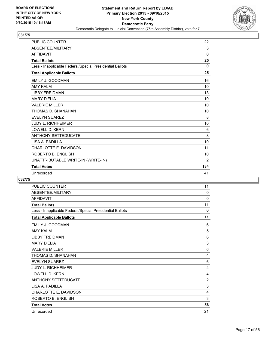

| <b>PUBLIC COUNTER</b>                                    | 22             |
|----------------------------------------------------------|----------------|
| ABSENTEE/MILITARY                                        | 3              |
| <b>AFFIDAVIT</b>                                         | $\Omega$       |
| <b>Total Ballots</b>                                     | 25             |
| Less - Inapplicable Federal/Special Presidential Ballots | 0              |
| <b>Total Applicable Ballots</b>                          | 25             |
| <b>EMILY J. GOODMAN</b>                                  | 16             |
| <b>AMY KALM</b>                                          | 10             |
| <b>LIBBY FREIDMAN</b>                                    | 13             |
| <b>MARY D'FI IA</b>                                      | 10             |
| <b>VALERIE MILLER</b>                                    | 10             |
| THOMAS D. SHANAHAN                                       | 10             |
| <b>EVELYN SUAREZ</b>                                     | 8              |
| <b>JUDY L. RICHHEIMER</b>                                | 10             |
| <b>LOWELL D. KERN</b>                                    | 6              |
| <b>ANTHONY SETTEDUCATE</b>                               | 8              |
| LISA A. PADILLA                                          | 10             |
| CHARLOTTE E. DAVIDSON                                    | 11             |
| ROBERTO B. ENGLISH                                       | 10             |
| UNATTRIBUTABLE WRITE-IN (WRITE-IN)                       | $\overline{2}$ |
| <b>Total Votes</b>                                       | 134            |
| Unrecorded                                               | 41             |

| <b>PUBLIC COUNTER</b>                                    | 11             |
|----------------------------------------------------------|----------------|
| ABSENTEE/MILITARY                                        | 0              |
| <b>AFFIDAVIT</b>                                         | $\mathbf 0$    |
| <b>Total Ballots</b>                                     | 11             |
| Less - Inapplicable Federal/Special Presidential Ballots | 0              |
| <b>Total Applicable Ballots</b>                          | 11             |
| EMILY J. GOODMAN                                         | 6              |
| <b>AMY KALM</b>                                          | 5              |
| <b>LIBBY FREIDMAN</b>                                    | 6              |
| <b>MARY D'ELIA</b>                                       | 3              |
| <b>VALERIE MILLER</b>                                    | 6              |
| THOMAS D. SHANAHAN                                       | 4              |
| <b>EVELYN SUAREZ</b>                                     | 6              |
| <b>JUDY L. RICHHEIMER</b>                                | 4              |
| LOWELL D. KERN                                           | 4              |
| <b>ANTHONY SETTEDUCATE</b>                               | $\overline{2}$ |
| LISA A. PADILLA                                          | 3              |
| CHARLOTTE E. DAVIDSON                                    | 4              |
| ROBERTO B. ENGLISH                                       | 3              |
| <b>Total Votes</b>                                       | 56             |
| Unrecorded                                               | 21             |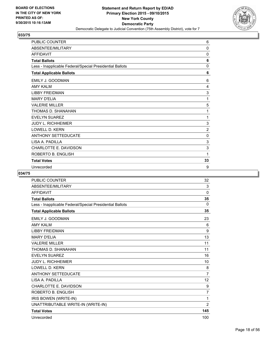

| PUBLIC COUNTER                                           | 6              |
|----------------------------------------------------------|----------------|
| ABSENTEE/MILITARY                                        | $\mathbf{0}$   |
| <b>AFFIDAVIT</b>                                         | 0              |
| <b>Total Ballots</b>                                     | 6              |
| Less - Inapplicable Federal/Special Presidential Ballots | 0              |
| <b>Total Applicable Ballots</b>                          | 6              |
| EMILY J. GOODMAN                                         | 6              |
| AMY KAI M                                                | 4              |
| <b>LIBBY FREIDMAN</b>                                    | 3              |
| <b>MARY D'ELIA</b>                                       | 1              |
| <b>VALERIE MILLER</b>                                    | 5              |
| THOMAS D. SHANAHAN                                       | 1              |
| <b>EVELYN SUAREZ</b>                                     | 1              |
| <b>JUDY L. RICHHEIMER</b>                                | 3              |
| <b>LOWELL D. KERN</b>                                    | $\overline{2}$ |
| ANTHONY SETTEDUCATE                                      | 0              |
| LISA A. PADILLA                                          | 3              |
| CHARLOTTE E. DAVIDSON                                    | 3              |
| ROBERTO B. ENGLISH                                       | 1              |
| <b>Total Votes</b>                                       | 33             |
| Unrecorded                                               | 9              |

| <b>PUBLIC COUNTER</b>                                    | 32             |
|----------------------------------------------------------|----------------|
| ABSENTEE/MILITARY                                        | $\mathsf 3$    |
| <b>AFFIDAVIT</b>                                         | $\mathbf 0$    |
| <b>Total Ballots</b>                                     | 35             |
| Less - Inapplicable Federal/Special Presidential Ballots | $\Omega$       |
| <b>Total Applicable Ballots</b>                          | 35             |
| EMILY J. GOODMAN                                         | 23             |
| <b>AMY KALM</b>                                          | 6              |
| <b>LIBBY FREIDMAN</b>                                    | 9              |
| <b>MARY D'ELIA</b>                                       | 13             |
| <b>VALERIE MILLER</b>                                    | 11             |
| THOMAS D. SHANAHAN                                       | 11             |
| <b>EVELYN SUAREZ</b>                                     | 16             |
| <b>JUDY L. RICHHEIMER</b>                                | 10             |
| <b>LOWELL D. KERN</b>                                    | 8              |
| <b>ANTHONY SETTEDUCATE</b>                               | $\overline{7}$ |
| LISA A. PADILLA                                          | 12             |
| CHARLOTTE E. DAVIDSON                                    | 9              |
| ROBERTO B. ENGLISH                                       | $\overline{7}$ |
| IRIS BOWEN (WRITE-IN)                                    | 1              |
| UNATTRIBUTABLE WRITE-IN (WRITE-IN)                       | $\overline{2}$ |
| <b>Total Votes</b>                                       | 145            |
| Unrecorded                                               | 100            |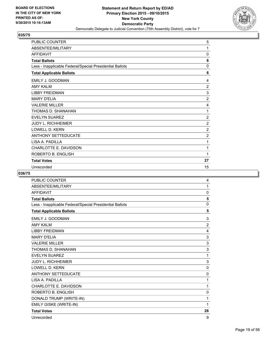

| PUBLIC COUNTER                                           | 5              |
|----------------------------------------------------------|----------------|
| ABSENTEE/MILITARY                                        | 1              |
| <b>AFFIDAVIT</b>                                         | 0              |
| <b>Total Ballots</b>                                     | 6              |
| Less - Inapplicable Federal/Special Presidential Ballots | 0              |
| <b>Total Applicable Ballots</b>                          | 6              |
| EMILY J. GOODMAN                                         | 4              |
| AMY KAI M                                                | $\overline{2}$ |
| <b>LIBBY FREIDMAN</b>                                    | 3              |
| <b>MARY D'ELIA</b>                                       | $\overline{2}$ |
| <b>VALERIE MILLER</b>                                    | 4              |
| THOMAS D. SHANAHAN                                       | 1              |
| <b>EVELYN SUAREZ</b>                                     | $\overline{2}$ |
| <b>JUDY L. RICHHEIMER</b>                                | $\overline{2}$ |
| <b>LOWELL D. KERN</b>                                    | $\overline{2}$ |
| ANTHONY SETTEDUCATE                                      | $\overline{2}$ |
| LISA A. PADILLA                                          | 1              |
| CHARLOTTE E. DAVIDSON                                    | 1              |
| ROBERTO B. ENGLISH                                       | 1              |
| <b>Total Votes</b>                                       | 27             |
| Unrecorded                                               | 15             |

| <b>PUBLIC COUNTER</b>                                    | 4              |
|----------------------------------------------------------|----------------|
| ABSENTEE/MILITARY                                        | 1              |
| <b>AFFIDAVIT</b>                                         | $\mathbf 0$    |
| <b>Total Ballots</b>                                     | 5              |
| Less - Inapplicable Federal/Special Presidential Ballots | 0              |
| <b>Total Applicable Ballots</b>                          | 5              |
| EMILY J. GOODMAN                                         | 3              |
| <b>AMY KALM</b>                                          | $\overline{2}$ |
| <b>LIBBY FREIDMAN</b>                                    | 4              |
| <b>MARY D'ELIA</b>                                       | 3              |
| <b>VALERIE MILLER</b>                                    | 3              |
| THOMAS D. SHANAHAN                                       | 3              |
| <b>EVELYN SUAREZ</b>                                     | 1              |
| <b>JUDY L. RICHHEIMER</b>                                | $\mathbf{3}$   |
| <b>LOWELL D. KERN</b>                                    | $\Omega$       |
| <b>ANTHONY SETTEDUCATE</b>                               | 0              |
| LISA A. PADILLA                                          | 1              |
| CHARLOTTE E. DAVIDSON                                    | 1              |
| ROBERTO B. ENGLISH                                       | 0              |
| DONALD TRUMP (WRITE-IN)                                  | 1              |
| EMILY GISKE (WRITE-IN)                                   | 1              |
| <b>Total Votes</b>                                       | 26             |
| Unrecorded                                               | 9              |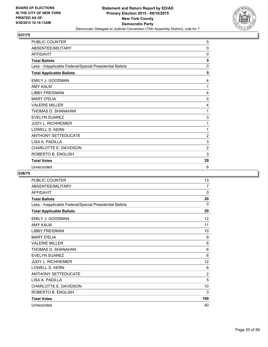

| PUBLIC COUNTER                                           | 5              |
|----------------------------------------------------------|----------------|
| ABSENTEE/MILITARY                                        | $\mathbf{0}$   |
| <b>AFFIDAVIT</b>                                         | 0              |
| <b>Total Ballots</b>                                     | 5              |
| Less - Inapplicable Federal/Special Presidential Ballots | 0              |
| <b>Total Applicable Ballots</b>                          | 5              |
| EMILY J. GOODMAN                                         | 4              |
| <b>AMY KALM</b>                                          | 1              |
| <b>LIBBY FREIDMAN</b>                                    | 4              |
| <b>MARY D'ELIA</b>                                       | 0              |
| <b>VALERIE MILLER</b>                                    | 4              |
| THOMAS D. SHANAHAN                                       | 1              |
| <b>EVELYN SUAREZ</b>                                     | 3              |
| <b>JUDY L. RICHHEIMER</b>                                | 1              |
| <b>LOWELL D. KERN</b>                                    | 1              |
| <b>ANTHONY SETTEDUCATE</b>                               | $\overline{2}$ |
| LISA A. PADILLA                                          | 3              |
| CHARLOTTE E. DAVIDSON                                    | $\overline{2}$ |
| ROBERTO B. ENGLISH                                       | 3              |
| <b>Total Votes</b>                                       | 29             |
| Unrecorded                                               | 6              |

| PUBLIC COUNTER                                           | 13             |
|----------------------------------------------------------|----------------|
| ABSENTEE/MILITARY                                        | $\overline{7}$ |
| <b>AFFIDAVIT</b>                                         | 0              |
| <b>Total Ballots</b>                                     | 20             |
| Less - Inapplicable Federal/Special Presidential Ballots | 0              |
| <b>Total Applicable Ballots</b>                          | 20             |
| EMILY J. GOODMAN                                         | 12             |
| <b>AMY KALM</b>                                          | 11             |
| <b>LIBBY FREIDMAN</b>                                    | 10             |
| <b>MARY D'ELIA</b>                                       | 9              |
| <b>VALERIE MILLER</b>                                    | 8              |
| THOMAS D. SHANAHAN                                       | 6              |
| <b>EVELYN SUAREZ</b>                                     | 6              |
| <b>JUDY L. RICHHEIMER</b>                                | 12             |
| <b>LOWELL D. KERN</b>                                    | 6              |
| <b>ANTHONY SETTEDUCATE</b>                               | $\overline{2}$ |
| LISA A. PADILLA                                          | 5              |
| CHARLOTTE E. DAVIDSON                                    | 10             |
| ROBERTO B. ENGLISH                                       | 3              |
| <b>Total Votes</b>                                       | 100            |
| Unrecorded                                               | 40             |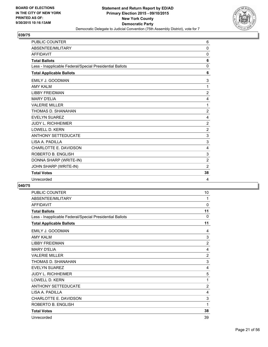

| <b>PUBLIC COUNTER</b>                                    | 6              |
|----------------------------------------------------------|----------------|
| ABSENTEE/MILITARY                                        | 0              |
| <b>AFFIDAVIT</b>                                         | 0              |
| <b>Total Ballots</b>                                     | 6              |
| Less - Inapplicable Federal/Special Presidential Ballots | 0              |
| <b>Total Applicable Ballots</b>                          | 6              |
| <b>EMILY J. GOODMAN</b>                                  | 3              |
| <b>AMY KALM</b>                                          | 1              |
| <b>LIBBY FREIDMAN</b>                                    | $\overline{2}$ |
| <b>MARY D'ELIA</b>                                       | 4              |
| <b>VALERIE MILLER</b>                                    | 1              |
| THOMAS D. SHANAHAN                                       | $\overline{2}$ |
| <b>EVELYN SUAREZ</b>                                     | 4              |
| <b>JUDY L. RICHHEIMER</b>                                | $\overline{2}$ |
| <b>LOWELL D. KERN</b>                                    | $\overline{2}$ |
| <b>ANTHONY SETTEDUCATE</b>                               | 3              |
| LISA A. PADILLA                                          | 3              |
| CHARLOTTE E. DAVIDSON                                    | 4              |
| ROBERTO B. ENGLISH                                       | 3              |
| DONNA SHARP (WRITE-IN)                                   | $\overline{2}$ |
| JOHN SHARP (WRITE-IN)                                    | 2              |
| <b>Total Votes</b>                                       | 38             |
| Unrecorded                                               | 4              |

| <b>PUBLIC COUNTER</b>                                    | 10             |
|----------------------------------------------------------|----------------|
| ABSENTEE/MILITARY                                        | 1              |
| <b>AFFIDAVIT</b>                                         | 0              |
| <b>Total Ballots</b>                                     | 11             |
| Less - Inapplicable Federal/Special Presidential Ballots | 0              |
| <b>Total Applicable Ballots</b>                          | 11             |
| <b>EMILY J. GOODMAN</b>                                  | 4              |
| <b>AMY KALM</b>                                          | 3              |
| <b>LIBBY FREIDMAN</b>                                    | $\overline{2}$ |
| <b>MARY D'ELIA</b>                                       | 4              |
| <b>VALERIE MILLER</b>                                    | $\overline{c}$ |
| THOMAS D. SHANAHAN                                       | 3              |
| <b>EVELYN SUAREZ</b>                                     | 4              |
| <b>JUDY L. RICHHEIMER</b>                                | 5              |
| LOWELL D. KERN                                           | 1              |
| <b>ANTHONY SETTEDUCATE</b>                               | $\overline{2}$ |
| LISA A. PADILLA                                          | 4              |
| CHARLOTTE E. DAVIDSON                                    | 3              |
| ROBERTO B. ENGLISH                                       | 1              |
| <b>Total Votes</b>                                       | 38             |
| Unrecorded                                               | 39             |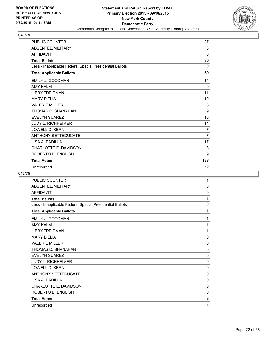

| PUBLIC COUNTER                                           | 27             |
|----------------------------------------------------------|----------------|
| ABSENTEE/MILITARY                                        | 3              |
| <b>AFFIDAVIT</b>                                         | $\Omega$       |
| <b>Total Ballots</b>                                     | 30             |
| Less - Inapplicable Federal/Special Presidential Ballots | 0              |
| <b>Total Applicable Ballots</b>                          | 30             |
| EMILY J. GOODMAN                                         | 14             |
| <b>AMY KALM</b>                                          | 9              |
| <b>LIBBY FREIDMAN</b>                                    | 11             |
| <b>MARY D'ELIA</b>                                       | 10             |
| <b>VALERIE MILLER</b>                                    | 8              |
| THOMAS D. SHANAHAN                                       | 9              |
| <b>EVELYN SUAREZ</b>                                     | 15             |
| <b>JUDY L. RICHHEIMER</b>                                | 14             |
| <b>LOWELL D. KERN</b>                                    | 7              |
| <b>ANTHONY SETTEDUCATE</b>                               | $\overline{7}$ |
| LISA A. PADILLA                                          | 17             |
| CHARLOTTE E. DAVIDSON                                    | 8              |
| ROBERTO B. ENGLISH                                       | 9              |
| <b>Total Votes</b>                                       | 138            |
| Unrecorded                                               | 72             |

| PUBLIC COUNTER                                           | 1 |
|----------------------------------------------------------|---|
| ABSENTEE/MILITARY                                        | 0 |
| <b>AFFIDAVIT</b>                                         | 0 |
| <b>Total Ballots</b>                                     | 1 |
| Less - Inapplicable Federal/Special Presidential Ballots | 0 |
| <b>Total Applicable Ballots</b>                          | 1 |
| <b>EMILY J. GOODMAN</b>                                  | 1 |
| <b>AMY KALM</b>                                          | 1 |
| <b>LIBBY FREIDMAN</b>                                    | 1 |
| <b>MARY D'ELIA</b>                                       | 0 |
| <b>VALERIE MILLER</b>                                    | 0 |
| THOMAS D. SHANAHAN                                       | 0 |
| <b>EVELYN SUAREZ</b>                                     | 0 |
| <b>JUDY L. RICHHEIMER</b>                                | 0 |
| <b>LOWELL D. KERN</b>                                    | 0 |
| <b>ANTHONY SETTEDUCATE</b>                               | 0 |
| LISA A. PADILLA                                          | 0 |
| CHARLOTTE E. DAVIDSON                                    | 0 |
| ROBERTO B. ENGLISH                                       | 0 |
| <b>Total Votes</b>                                       | 3 |
| Unrecorded                                               | 4 |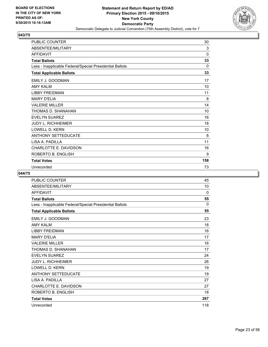

| PUBLIC COUNTER                                           | 30  |
|----------------------------------------------------------|-----|
| ABSENTEE/MILITARY                                        | 3   |
| <b>AFFIDAVIT</b>                                         | 0   |
| <b>Total Ballots</b>                                     | 33  |
| Less - Inapplicable Federal/Special Presidential Ballots | 0   |
| <b>Total Applicable Ballots</b>                          | 33  |
| EMILY J. GOODMAN                                         | 17  |
| <b>AMY KALM</b>                                          | 10  |
| <b>LIBBY FREIDMAN</b>                                    | 11  |
| <b>MARY D'ELIA</b>                                       | 8   |
| <b>VALERIE MILLER</b>                                    | 14  |
| THOMAS D. SHANAHAN                                       | 10  |
| <b>EVELYN SUAREZ</b>                                     | 16  |
| <b>JUDY L. RICHHEIMER</b>                                | 18  |
| <b>LOWELL D. KERN</b>                                    | 10  |
| <b>ANTHONY SETTEDUCATE</b>                               | 8   |
| LISA A. PADILLA                                          | 11  |
| CHARLOTTE E. DAVIDSON                                    | 16  |
| ROBERTO B. ENGLISH                                       | 9   |
| <b>Total Votes</b>                                       | 158 |
| Unrecorded                                               | 73  |

| <b>PUBLIC COUNTER</b>                                    | 45  |
|----------------------------------------------------------|-----|
| ABSENTEE/MILITARY                                        | 10  |
| <b>AFFIDAVIT</b>                                         | 0   |
| <b>Total Ballots</b>                                     | 55  |
| Less - Inapplicable Federal/Special Presidential Ballots | 0   |
| <b>Total Applicable Ballots</b>                          | 55  |
| EMILY J. GOODMAN                                         | 23  |
| <b>AMY KALM</b>                                          | 18  |
| <b>LIBBY FREIDMAN</b>                                    | 16  |
| <b>MARY D'ELIA</b>                                       | 17  |
| <b>VALERIE MILLER</b>                                    | 16  |
| THOMAS D. SHANAHAN                                       | 17  |
| <b>EVELYN SUAREZ</b>                                     | 24  |
| <b>JUDY L. RICHHEIMER</b>                                | 26  |
| <b>LOWELL D. KERN</b>                                    | 19  |
| <b>ANTHONY SETTEDUCATE</b>                               | 19  |
| LISA A. PADILLA                                          | 27  |
| CHARLOTTE E. DAVIDSON                                    | 27  |
| ROBERTO B. ENGLISH                                       | 18  |
| <b>Total Votes</b>                                       | 267 |
| Unrecorded                                               | 118 |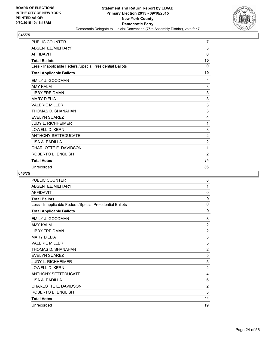

| PUBLIC COUNTER                                           | 7              |
|----------------------------------------------------------|----------------|
| ABSENTEE/MILITARY                                        | 3              |
| <b>AFFIDAVIT</b>                                         | $\mathbf{0}$   |
| <b>Total Ballots</b>                                     | 10             |
| Less - Inapplicable Federal/Special Presidential Ballots | $\Omega$       |
| <b>Total Applicable Ballots</b>                          | 10             |
| EMILY J. GOODMAN                                         | 4              |
| <b>AMY KALM</b>                                          | 3              |
| <b>LIBBY FREIDMAN</b>                                    | 3              |
| <b>MARY D'ELIA</b>                                       | 3              |
| <b>VALERIE MILLER</b>                                    | 3              |
| THOMAS D. SHANAHAN                                       | 3              |
| <b>EVELYN SUAREZ</b>                                     | 4              |
| <b>JUDY L. RICHHEIMER</b>                                | 1              |
| <b>LOWELL D. KERN</b>                                    | 3              |
| <b>ANTHONY SETTEDUCATE</b>                               | $\overline{2}$ |
| LISA A. PADILLA                                          | $\overline{2}$ |
| CHARLOTTE E. DAVIDSON                                    | 1              |
| ROBERTO B. ENGLISH                                       | $\overline{2}$ |
| <b>Total Votes</b>                                       | 34             |
| Unrecorded                                               | 36             |

| PUBLIC COUNTER                                           | 8              |
|----------------------------------------------------------|----------------|
| ABSENTEE/MILITARY                                        | 1              |
| <b>AFFIDAVIT</b>                                         | 0              |
| <b>Total Ballots</b>                                     | 9              |
| Less - Inapplicable Federal/Special Presidential Ballots | 0              |
| <b>Total Applicable Ballots</b>                          | 9              |
| EMILY J. GOODMAN                                         | 3              |
| <b>AMY KALM</b>                                          | $\overline{2}$ |
| <b>LIBBY FREIDMAN</b>                                    | $\overline{2}$ |
| <b>MARY D'ELIA</b>                                       | 3              |
| <b>VALERIE MILLER</b>                                    | 5              |
| THOMAS D. SHANAHAN                                       | $\overline{2}$ |
| <b>EVELYN SUAREZ</b>                                     | 5              |
| JUDY L. RICHHEIMER                                       | 5              |
| <b>LOWELL D. KERN</b>                                    | $\overline{2}$ |
| <b>ANTHONY SETTEDUCATE</b>                               | 4              |
| LISA A. PADILLA                                          | 6              |
| CHARLOTTE E. DAVIDSON                                    | $\overline{2}$ |
| ROBERTO B. ENGLISH                                       | 3              |
| <b>Total Votes</b>                                       | 44             |
| Unrecorded                                               | 19             |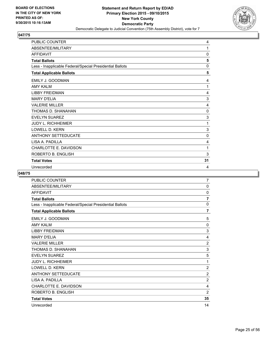

| PUBLIC COUNTER                                           | 4  |
|----------------------------------------------------------|----|
| ABSENTEE/MILITARY                                        | 1  |
| AFFIDAVIT                                                | 0  |
| <b>Total Ballots</b>                                     | 5  |
| Less - Inapplicable Federal/Special Presidential Ballots | 0  |
| <b>Total Applicable Ballots</b>                          | 5  |
| EMILY J. GOODMAN                                         | 4  |
| <b>AMY KALM</b>                                          | 1  |
| <b>LIBBY FREIDMAN</b>                                    | 4  |
| <b>MARY D'ELIA</b>                                       | 3  |
| <b>VALERIE MILLER</b>                                    | 4  |
| THOMAS D. SHANAHAN                                       | 0  |
| <b>EVELYN SUAREZ</b>                                     | 3  |
| <b>JUDY L. RICHHEIMER</b>                                | 1  |
| <b>LOWELL D. KERN</b>                                    | 3  |
| <b>ANTHONY SETTEDUCATE</b>                               | 0  |
| LISA A. PADILLA                                          | 4  |
| <b>CHARLOTTE E. DAVIDSON</b>                             | 1  |
| ROBERTO B. ENGLISH                                       | 3  |
| <b>Total Votes</b>                                       | 31 |
| Unrecorded                                               | 4  |

| PUBLIC COUNTER                                           | $\overline{7}$ |
|----------------------------------------------------------|----------------|
| ABSENTEE/MILITARY                                        | $\mathbf 0$    |
| <b>AFFIDAVIT</b>                                         | 0              |
| <b>Total Ballots</b>                                     | $\overline{7}$ |
| Less - Inapplicable Federal/Special Presidential Ballots | 0              |
| <b>Total Applicable Ballots</b>                          | $\overline{7}$ |
| EMILY J. GOODMAN                                         | 5              |
| <b>AMY KALM</b>                                          | 0              |
| <b>LIBBY FREIDMAN</b>                                    | 3              |
| <b>MARY D'ELIA</b>                                       | 4              |
| <b>VALERIE MILLER</b>                                    | $\overline{c}$ |
| THOMAS D. SHANAHAN                                       | 3              |
| <b>EVELYN SUAREZ</b>                                     | 5              |
| <b>JUDY L. RICHHEIMER</b>                                | 1              |
| LOWELL D. KERN                                           | 2              |
| <b>ANTHONY SETTEDUCATE</b>                               | $\overline{2}$ |
| LISA A. PADILLA                                          | $\overline{2}$ |
| CHARLOTTE E. DAVIDSON                                    | 4              |
| ROBERTO B. ENGLISH                                       | $\overline{2}$ |
| <b>Total Votes</b>                                       | 35             |
| Unrecorded                                               | 14             |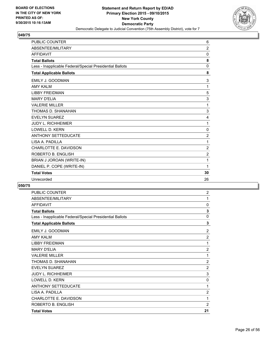

| PUBLIC COUNTER                                           | 6              |
|----------------------------------------------------------|----------------|
| ABSENTEE/MILITARY                                        | $\overline{2}$ |
| <b>AFFIDAVIT</b>                                         | 0              |
| <b>Total Ballots</b>                                     | 8              |
| Less - Inapplicable Federal/Special Presidential Ballots | 0              |
| <b>Total Applicable Ballots</b>                          | 8              |
| <b>EMILY J. GOODMAN</b>                                  | 3              |
| <b>AMY KALM</b>                                          | 1              |
| <b>LIBBY FREIDMAN</b>                                    | 5              |
| <b>MARY D'ELIA</b>                                       | 3              |
| <b>VALERIE MILLER</b>                                    | 1              |
| THOMAS D. SHANAHAN                                       | 3              |
| <b>EVELYN SUAREZ</b>                                     | 4              |
| <b>JUDY L. RICHHEIMER</b>                                | 1              |
| <b>LOWELL D. KERN</b>                                    | 0              |
| <b>ANTHONY SETTEDUCATE</b>                               | $\overline{2}$ |
| LISA A. PADILLA                                          | 1              |
| CHARLOTTE E. DAVIDSON                                    | 2              |
| ROBERTO B. ENGLISH                                       | $\overline{c}$ |
| BRIAN J JOROAN (WRITE-IN)                                | 1              |
| DANIEL P. COPE (WRITE-IN)                                | 1              |
| <b>Total Votes</b>                                       | 30             |
| Unrecorded                                               | 26             |

| PUBLIC COUNTER                                           | $\overline{c}$ |
|----------------------------------------------------------|----------------|
| ABSENTEE/MILITARY                                        | 1              |
| <b>AFFIDAVIT</b>                                         | $\mathbf{0}$   |
| <b>Total Ballots</b>                                     | 3              |
| Less - Inapplicable Federal/Special Presidential Ballots | 0              |
| <b>Total Applicable Ballots</b>                          | 3              |
| EMILY J. GOODMAN                                         | 2              |
| <b>AMY KALM</b>                                          | $\overline{2}$ |
| <b>LIBBY FREIDMAN</b>                                    | 1              |
| <b>MARY D'ELIA</b>                                       | $\overline{2}$ |
| <b>VALERIE MILLER</b>                                    | 1              |
| THOMAS D. SHANAHAN                                       | $\overline{2}$ |
| <b>EVELYN SUAREZ</b>                                     | $\overline{2}$ |
| <b>JUDY L. RICHHEIMER</b>                                | 3              |
| <b>LOWELL D. KERN</b>                                    | $\mathbf 0$    |
| <b>ANTHONY SETTEDUCATE</b>                               | 1              |
| <b>I ISA A. PADILLA</b>                                  | $\overline{2}$ |
| <b>CHARLOTTE E. DAVIDSON</b>                             | 1              |
| ROBERTO B. ENGLISH                                       | 2              |
| <b>Total Votes</b>                                       | 21             |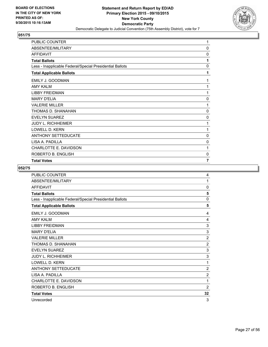

| PUBLIC COUNTER                                           | 1        |
|----------------------------------------------------------|----------|
| ABSENTEE/MILITARY                                        | $\Omega$ |
| <b>AFFIDAVIT</b>                                         | $\Omega$ |
| <b>Total Ballots</b>                                     | 1        |
| Less - Inapplicable Federal/Special Presidential Ballots | 0        |
| <b>Total Applicable Ballots</b>                          | 1        |
| EMILY J. GOODMAN                                         | 1        |
| <b>AMY KALM</b>                                          | 1        |
| <b>LIBBY FREIDMAN</b>                                    | 1        |
| <b>MARY D'ELIA</b>                                       | 0        |
| <b>VALERIE MILLER</b>                                    | 1        |
| THOMAS D. SHANAHAN                                       | 0        |
| <b>EVELYN SUAREZ</b>                                     | 0        |
| <b>JUDY L. RICHHEIMER</b>                                | 1        |
| LOWELL D. KERN                                           | 1        |
| <b>ANTHONY SETTEDUCATE</b>                               | 0        |
| LISA A. PADILLA                                          | 0        |
| CHARLOTTE E. DAVIDSON                                    | 1        |
| ROBERTO B. ENGLISH                                       | 0        |
| <b>Total Votes</b>                                       | 7        |

| PUBLIC COUNTER                                           | 4              |
|----------------------------------------------------------|----------------|
| ABSENTEE/MILITARY                                        | 1              |
| <b>AFFIDAVIT</b>                                         | $\mathbf{0}$   |
| <b>Total Ballots</b>                                     | 5              |
| Less - Inapplicable Federal/Special Presidential Ballots | 0              |
| <b>Total Applicable Ballots</b>                          | 5              |
| EMILY J. GOODMAN                                         | 4              |
| <b>AMY KALM</b>                                          | 4              |
| <b>LIBBY FREIDMAN</b>                                    | 3              |
| <b>MARY D'ELIA</b>                                       | 3              |
| <b>VALERIE MILLER</b>                                    | $\overline{2}$ |
| THOMAS D. SHANAHAN                                       | $\overline{2}$ |
| <b>EVELYN SUAREZ</b>                                     | 3              |
| <b>JUDY L. RICHHEIMER</b>                                | 3              |
| <b>LOWELL D. KERN</b>                                    | 1              |
| <b>ANTHONY SETTEDUCATE</b>                               | $\overline{2}$ |
| LISA A. PADILLA                                          | $\overline{2}$ |
| CHARLOTTE E. DAVIDSON                                    | 1              |
| ROBERTO B. ENGLISH                                       | $\overline{c}$ |
| <b>Total Votes</b>                                       | 32             |
| Unrecorded                                               | 3              |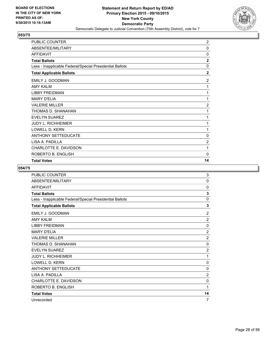

| <b>PUBLIC COUNTER</b>                                    | 2              |
|----------------------------------------------------------|----------------|
| ABSENTEE/MILITARY                                        | $\Omega$       |
| <b>AFFIDAVIT</b>                                         | 0              |
| <b>Total Ballots</b>                                     | $\mathbf{2}$   |
| Less - Inapplicable Federal/Special Presidential Ballots | $\Omega$       |
| <b>Total Applicable Ballots</b>                          | $\mathbf{2}$   |
| <b>EMILY J. GOODMAN</b>                                  | 2              |
| AMY KAI M                                                | 1              |
| <b>LIBBY FREIDMAN</b>                                    | 1              |
| <b>MARY D'ELIA</b>                                       | 1              |
| <b>VALERIE MILLER</b>                                    | $\overline{2}$ |
| THOMAS D. SHANAHAN                                       | 1              |
| <b>EVELYN SUAREZ</b>                                     | 1              |
| <b>JUDY L. RICHHEIMER</b>                                | 1              |
| <b>LOWELL D. KERN</b>                                    | 1              |
| ANTHONY SETTEDUCATE                                      | 0              |
| LISA A. PADILLA                                          | $\overline{2}$ |
| CHARLOTTE E. DAVIDSON                                    | 1              |
| ROBERTO B. ENGLISH                                       | 0              |
| <b>Total Votes</b>                                       | 14             |

| PUBLIC COUNTER                                           | 3              |
|----------------------------------------------------------|----------------|
| ABSENTEE/MILITARY                                        | 0              |
| <b>AFFIDAVIT</b>                                         | 0              |
| <b>Total Ballots</b>                                     | 3              |
| Less - Inapplicable Federal/Special Presidential Ballots | 0              |
| <b>Total Applicable Ballots</b>                          | 3              |
| EMILY J. GOODMAN                                         | 2              |
| <b>AMY KALM</b>                                          | $\overline{2}$ |
| <b>LIBBY FREIDMAN</b>                                    | 0              |
| <b>MARY D'FI IA</b>                                      | $\overline{2}$ |
| <b>VALERIE MILLER</b>                                    | $\overline{2}$ |
| THOMAS D. SHANAHAN                                       | $\mathbf{0}$   |
| <b>EVELYN SUAREZ</b>                                     | $\overline{2}$ |
| <b>JUDY L. RICHHEIMER</b>                                | 1              |
| <b>LOWELL D. KERN</b>                                    | 0              |
| <b>ANTHONY SETTEDUCATE</b>                               | $\mathbf{0}$   |
| LISA A. PADILLA                                          | $\overline{c}$ |
| CHARLOTTE E. DAVIDSON                                    | 0              |
| ROBERTO B. ENGLISH                                       | 1              |
| <b>Total Votes</b>                                       | 14             |
| Unrecorded                                               | 7              |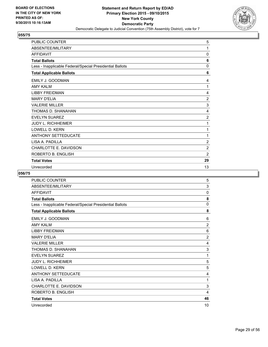

| PUBLIC COUNTER                                           | 5              |
|----------------------------------------------------------|----------------|
| ABSENTEE/MILITARY                                        | 1              |
| AFFIDAVIT                                                | 0              |
| <b>Total Ballots</b>                                     | 6              |
| Less - Inapplicable Federal/Special Presidential Ballots | 0              |
| <b>Total Applicable Ballots</b>                          | 6              |
| EMILY J. GOODMAN                                         | 4              |
| <b>AMY KALM</b>                                          | 1              |
| <b>LIBBY FREIDMAN</b>                                    | 4              |
| <b>MARY D'ELIA</b>                                       | 2              |
| <b>VALERIE MILLER</b>                                    | 3              |
| THOMAS D. SHANAHAN                                       | 4              |
| <b>EVELYN SUAREZ</b>                                     | $\overline{2}$ |
| <b>JUDY L. RICHHEIMER</b>                                | 1              |
| LOWELL D. KERN                                           | 1              |
| <b>ANTHONY SETTEDUCATE</b>                               | 1              |
| LISA A. PADILLA                                          | $\overline{2}$ |
| CHARLOTTE E. DAVIDSON                                    | $\overline{2}$ |
| ROBERTO B. ENGLISH                                       | 2              |
| <b>Total Votes</b>                                       | 29             |
| Unrecorded                                               | 13             |

| PUBLIC COUNTER                                           | 5              |
|----------------------------------------------------------|----------------|
| ABSENTEE/MILITARY                                        | 3              |
| <b>AFFIDAVIT</b>                                         | 0              |
| <b>Total Ballots</b>                                     | 8              |
| Less - Inapplicable Federal/Special Presidential Ballots | 0              |
| <b>Total Applicable Ballots</b>                          | 8              |
| EMILY J. GOODMAN                                         | 6              |
| <b>AMY KALM</b>                                          | $\overline{2}$ |
| <b>LIBBY FREIDMAN</b>                                    | 6              |
| <b>MARY D'ELIA</b>                                       | $\overline{2}$ |
| <b>VALERIE MILLER</b>                                    | 4              |
| THOMAS D. SHANAHAN                                       | 3              |
| <b>EVELYN SUAREZ</b>                                     | 1              |
| <b>JUDY L. RICHHEIMER</b>                                | 5              |
| LOWELL D. KERN                                           | 5              |
| <b>ANTHONY SETTEDUCATE</b>                               | 4              |
| LISA A. PADILLA                                          | 1              |
| CHARLOTTE E. DAVIDSON                                    | 3              |
| ROBERTO B. ENGLISH                                       | 4              |
| <b>Total Votes</b>                                       | 46             |
| Unrecorded                                               | 10             |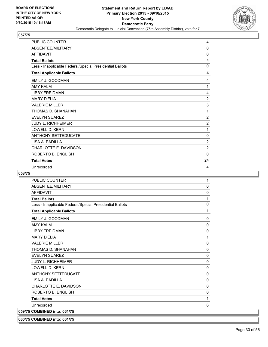

| PUBLIC COUNTER                                           | 4              |
|----------------------------------------------------------|----------------|
| ABSENTEE/MILITARY                                        | $\Omega$       |
| <b>AFFIDAVIT</b>                                         | $\Omega$       |
| <b>Total Ballots</b>                                     | 4              |
| Less - Inapplicable Federal/Special Presidential Ballots | 0              |
| <b>Total Applicable Ballots</b>                          | 4              |
| EMILY J. GOODMAN                                         | 4              |
| <b>AMY KALM</b>                                          | 1              |
| <b>LIBBY FREIDMAN</b>                                    | 4              |
| <b>MARY D'ELIA</b>                                       | $\overline{2}$ |
| <b>VALERIE MILLER</b>                                    | 3              |
| THOMAS D. SHANAHAN                                       | 1              |
| <b>EVELYN SUAREZ</b>                                     | $\overline{2}$ |
| <b>JUDY L. RICHHEIMER</b>                                | $\overline{c}$ |
| <b>LOWELL D. KERN</b>                                    | 1              |
| <b>ANTHONY SETTEDUCATE</b>                               | 0              |
| LISA A. PADILLA                                          | $\overline{2}$ |
| CHARLOTTE E. DAVIDSON                                    | $\overline{2}$ |
| ROBERTO B. ENGLISH                                       | $\Omega$       |
| <b>Total Votes</b>                                       | 24             |
| Unrecorded                                               | 4              |

## **058/75**

| <b>PUBLIC COUNTER</b>                                    | 1           |
|----------------------------------------------------------|-------------|
| ABSENTEE/MILITARY                                        | $\mathbf 0$ |
| <b>AFFIDAVIT</b>                                         | 0           |
| <b>Total Ballots</b>                                     | 1           |
| Less - Inapplicable Federal/Special Presidential Ballots | 0           |
| <b>Total Applicable Ballots</b>                          | 1           |
| <b>EMILY J. GOODMAN</b>                                  | 0           |
| <b>AMY KALM</b>                                          | $\mathbf 0$ |
| <b>I IBBY FREIDMAN</b>                                   | $\mathbf 0$ |
| <b>MARY D'FI IA</b>                                      | 1           |
| <b>VALERIE MILLER</b>                                    | $\mathbf 0$ |
| THOMAS D. SHANAHAN                                       | 0           |
| <b>EVELYN SUAREZ</b>                                     | $\mathbf 0$ |
| <b>JUDY L. RICHHEIMER</b>                                | $\mathbf 0$ |
| <b>LOWELL D. KERN</b>                                    | 0           |
| <b>ANTHONY SETTEDUCATE</b>                               | $\mathbf 0$ |
| LISA A. PADILLA                                          | $\mathbf 0$ |
| CHARLOTTE E. DAVIDSON                                    | 0           |
| ROBERTO B. ENGLISH                                       | 0           |
| <b>Total Votes</b>                                       | 1           |
| Unrecorded                                               | 6           |
| 059/75 COMBINED into: 061/75                             |             |
|                                                          |             |

**060/75 COMBINED into: 061/75**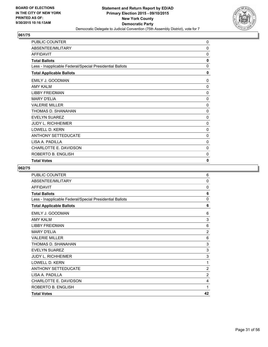

| PUBLIC COUNTER                                           | 0            |
|----------------------------------------------------------|--------------|
| ABSENTEE/MILITARY                                        | $\mathbf{0}$ |
| <b>AFFIDAVIT</b>                                         | 0            |
| <b>Total Ballots</b>                                     | 0            |
| Less - Inapplicable Federal/Special Presidential Ballots | $\mathbf{0}$ |
| <b>Total Applicable Ballots</b>                          | $\mathbf 0$  |
| EMILY J. GOODMAN                                         | 0            |
| <b>AMY KALM</b>                                          | $\Omega$     |
| <b>LIBBY FREIDMAN</b>                                    | 0            |
| <b>MARY D'ELIA</b>                                       | $\mathbf{0}$ |
| <b>VALERIE MILLER</b>                                    | $\mathbf{0}$ |
| THOMAS D. SHANAHAN                                       | 0            |
| <b>EVELYN SUAREZ</b>                                     | $\mathbf{0}$ |
| <b>JUDY L. RICHHEIMER</b>                                | $\mathbf{0}$ |
| LOWELL D. KERN                                           | 0            |
| <b>ANTHONY SETTEDUCATE</b>                               | 0            |
| LISA A. PADILLA                                          | 0            |
| <b>CHARLOTTE E. DAVIDSON</b>                             | $\mathbf{0}$ |
| ROBERTO B. ENGLISH                                       | 0            |
| <b>Total Votes</b>                                       | 0            |

| <b>PUBLIC COUNTER</b>                                    | 6              |
|----------------------------------------------------------|----------------|
| ABSENTEE/MILITARY                                        | 0              |
| <b>AFFIDAVIT</b>                                         | 0              |
| <b>Total Ballots</b>                                     | 6              |
| Less - Inapplicable Federal/Special Presidential Ballots | 0              |
| <b>Total Applicable Ballots</b>                          | 6              |
| EMILY J. GOODMAN                                         | 6              |
| AMY KAI M                                                | 3              |
| <b>I IBBY FREIDMAN</b>                                   | 6              |
| <b>MARY D'ELIA</b>                                       | $\overline{2}$ |
| <b>VALERIE MILLER</b>                                    | 6              |
| THOMAS D. SHANAHAN                                       | 3              |
| <b>EVELYN SUAREZ</b>                                     | 3              |
| <b>JUDY L. RICHHEIMER</b>                                | 3              |
| <b>LOWELL D. KERN</b>                                    | 1              |
| ANTHONY SETTEDUCATE                                      | $\overline{2}$ |
| LISA A. PADILLA                                          | $\overline{2}$ |
| CHARLOTTE E. DAVIDSON                                    | 4              |
| ROBERTO B. ENGLISH                                       | 1              |
| <b>Total Votes</b>                                       | 42             |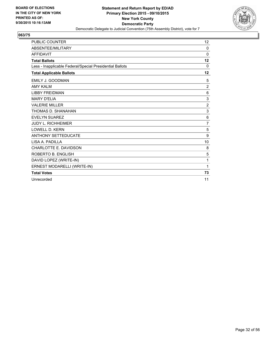

| PUBLIC COUNTER                                           | 12             |
|----------------------------------------------------------|----------------|
| ABSENTEE/MILITARY                                        | 0              |
| <b>AFFIDAVIT</b>                                         | $\mathbf{0}$   |
| <b>Total Ballots</b>                                     | 12             |
| Less - Inapplicable Federal/Special Presidential Ballots | 0              |
| <b>Total Applicable Ballots</b>                          | 12             |
| <b>EMILY J. GOODMAN</b>                                  | 5              |
| <b>AMY KAI M</b>                                         | 2              |
| <b>LIBBY FREIDMAN</b>                                    | 6              |
| <b>MARY D'ELIA</b>                                       | 3              |
| <b>VALERIE MILLER</b>                                    | $\overline{2}$ |
| THOMAS D. SHANAHAN                                       | 3              |
| <b>EVELYN SUAREZ</b>                                     | 6              |
| <b>JUDY L. RICHHEIMER</b>                                | 7              |
| <b>LOWELL D. KERN</b>                                    | 5              |
| <b>ANTHONY SETTEDUCATE</b>                               | 9              |
| LISA A. PADILLA                                          | 10             |
| CHARLOTTE E. DAVIDSON                                    | 8              |
| ROBERTO B. ENGLISH                                       | 5              |
| DAVID LOPEZ (WRITE-IN)                                   | 1              |
| ERNEST MODARELLI (WRITE-IN)                              | 1              |
| <b>Total Votes</b>                                       | 73             |
| Unrecorded                                               | 11             |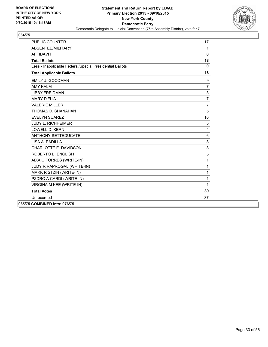

| PUBLIC COUNTER                                           | 17             |
|----------------------------------------------------------|----------------|
| <b>ABSENTEE/MILITARY</b>                                 | 1              |
| <b>AFFIDAVIT</b>                                         | $\Omega$       |
| <b>Total Ballots</b>                                     | 18             |
| Less - Inapplicable Federal/Special Presidential Ballots | $\Omega$       |
| <b>Total Applicable Ballots</b>                          | 18             |
| EMILY J. GOODMAN                                         | 9              |
| <b>AMY KALM</b>                                          | $\overline{7}$ |
| <b>LIBBY FREIDMAN</b>                                    | 3              |
| <b>MARY D'ELIA</b>                                       | 7              |
| <b>VALERIE MILLER</b>                                    | $\overline{7}$ |
| THOMAS D. SHANAHAN                                       | 5              |
| <b>EVELYN SUAREZ</b>                                     | 10             |
| <b>JUDY L. RICHHEIMER</b>                                | 5              |
| <b>LOWELL D. KERN</b>                                    | 4              |
| <b>ANTHONY SETTEDUCATE</b>                               | 6              |
| <b>I ISA A. PADILLA</b>                                  | 8              |
| CHARLOTTE E. DAVIDSON                                    | 8              |
| ROBERTO B. ENGLISH                                       | 5              |
| AIXA O TORRES (WRITE-IN)                                 | 1              |
| JUDY R RAPROGAL (WRITE-IN)                               | 1              |
| MARK R STZIN (WRITE-IN)                                  | 1              |
| PZDRO A CARDI (WRITE-IN)                                 | 1              |
| VIRGINA M KEE (WRITE-IN)                                 | 1              |
| <b>Total Votes</b>                                       | 89             |
| Unrecorded                                               | 37             |
| 065/75 COMBINED into: 076/75                             |                |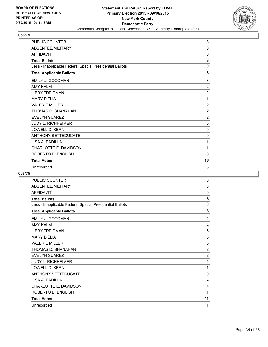

| PUBLIC COUNTER                                           | 3              |
|----------------------------------------------------------|----------------|
| ABSENTEE/MILITARY                                        | 0              |
| AFFIDAVIT                                                | 0              |
| <b>Total Ballots</b>                                     | 3              |
| Less - Inapplicable Federal/Special Presidential Ballots | 0              |
| <b>Total Applicable Ballots</b>                          | 3              |
| EMILY J. GOODMAN                                         | 3              |
| <b>AMY KALM</b>                                          | $\overline{2}$ |
| <b>LIBBY FREIDMAN</b>                                    | $\overline{2}$ |
| <b>MARY D'ELIA</b>                                       | 1              |
| <b>VALERIE MILLER</b>                                    | $\overline{2}$ |
| THOMAS D. SHANAHAN                                       | $\overline{2}$ |
| <b>EVELYN SUAREZ</b>                                     | $\overline{2}$ |
| <b>JUDY L. RICHHEIMER</b>                                | 0              |
| LOWELL D. KERN                                           | 0              |
| <b>ANTHONY SETTEDUCATE</b>                               | 0              |
| LISA A. PADILLA                                          | 1              |
| CHARLOTTE E. DAVIDSON                                    | 1              |
| ROBERTO B. ENGLISH                                       | $\Omega$       |
| <b>Total Votes</b>                                       | 16             |
| Unrecorded                                               | 5              |

| PUBLIC COUNTER                                           | 6              |
|----------------------------------------------------------|----------------|
| ABSENTEE/MILITARY                                        | 0              |
| <b>AFFIDAVIT</b>                                         | 0              |
| <b>Total Ballots</b>                                     | 6              |
| Less - Inapplicable Federal/Special Presidential Ballots | 0              |
| <b>Total Applicable Ballots</b>                          | 6              |
| EMILY J. GOODMAN                                         | 4              |
| <b>AMY KALM</b>                                          | 4              |
| <b>LIBBY FREIDMAN</b>                                    | 5              |
| <b>MARY D'ELIA</b>                                       | 5              |
| <b>VALERIE MILLER</b>                                    | 5              |
| THOMAS D. SHANAHAN                                       | $\overline{2}$ |
| <b>EVELYN SUAREZ</b>                                     | $\overline{2}$ |
| <b>JUDY L. RICHHEIMER</b>                                | $\overline{4}$ |
| LOWELL D. KERN                                           | 1              |
| <b>ANTHONY SETTEDUCATE</b>                               | 0              |
| LISA A. PADILLA                                          | 4              |
| CHARLOTTE E. DAVIDSON                                    | 4              |
| ROBERTO B. ENGLISH                                       | 1              |
| <b>Total Votes</b>                                       | 41             |
| Unrecorded                                               | 1              |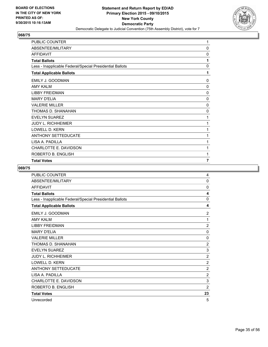

| <b>PUBLIC COUNTER</b>                                    | 1              |
|----------------------------------------------------------|----------------|
| ABSENTEE/MILITARY                                        | $\mathbf{0}$   |
| <b>AFFIDAVIT</b>                                         | $\mathbf{0}$   |
| <b>Total Ballots</b>                                     | 1              |
| Less - Inapplicable Federal/Special Presidential Ballots | $\mathbf{0}$   |
| <b>Total Applicable Ballots</b>                          | 1              |
| EMILY J. GOODMAN                                         | $\mathbf{0}$   |
| <b>AMY KALM</b>                                          | 0              |
| <b>LIBBY FREIDMAN</b>                                    | 0              |
| <b>MARY D'ELIA</b>                                       | $\mathbf{0}$   |
| <b>VALERIE MILLER</b>                                    | $\mathbf{0}$   |
| THOMAS D. SHANAHAN                                       | 0              |
| <b>EVELYN SUAREZ</b>                                     | 1              |
| <b>JUDY L. RICHHEIMER</b>                                | 1              |
| LOWELL D. KERN                                           | 1              |
| <b>ANTHONY SETTEDUCATE</b>                               | 1              |
| I ISA A. PADILLA                                         | 1              |
| CHARLOTTE E. DAVIDSON                                    | 1              |
| ROBERTO B. ENGLISH                                       | 1              |
| <b>Total Votes</b>                                       | $\overline{7}$ |

| <b>PUBLIC COUNTER</b>                                    | 4              |
|----------------------------------------------------------|----------------|
| ABSENTEE/MILITARY                                        | $\mathbf{0}$   |
| <b>AFFIDAVIT</b>                                         | $\mathbf{0}$   |
| <b>Total Ballots</b>                                     | 4              |
| Less - Inapplicable Federal/Special Presidential Ballots | $\mathbf{0}$   |
| <b>Total Applicable Ballots</b>                          | 4              |
| EMILY J. GOODMAN                                         | $\overline{2}$ |
| <b>AMY KALM</b>                                          | 1              |
| <b>LIBBY FREIDMAN</b>                                    | $\overline{2}$ |
| <b>MARY D'ELIA</b>                                       | $\mathbf 0$    |
| <b>VALERIE MILLER</b>                                    | 0              |
| THOMAS D. SHANAHAN                                       | $\overline{2}$ |
| <b>EVELYN SUAREZ</b>                                     | 3              |
| <b>JUDY L. RICHHEIMER</b>                                | $\overline{2}$ |
| LOWELL D. KERN                                           | $\overline{2}$ |
| <b>ANTHONY SETTEDUCATE</b>                               | $\overline{2}$ |
| LISA A. PADILLA                                          | $\overline{2}$ |
| CHARLOTTE E. DAVIDSON                                    | 3              |
| ROBERTO B. ENGLISH                                       | $\overline{2}$ |
| <b>Total Votes</b>                                       | 23             |
| Unrecorded                                               | 5              |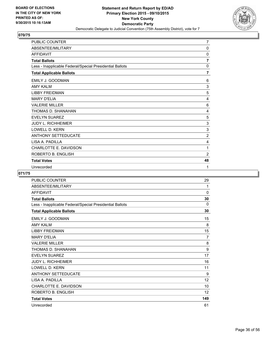

| PUBLIC COUNTER                                           | $\overline{7}$ |
|----------------------------------------------------------|----------------|
| ABSENTEE/MILITARY                                        | $\Omega$       |
| <b>AFFIDAVIT</b>                                         | 0              |
| <b>Total Ballots</b>                                     | 7              |
| Less - Inapplicable Federal/Special Presidential Ballots | 0              |
| <b>Total Applicable Ballots</b>                          | $\overline{7}$ |
| EMILY J. GOODMAN                                         | 6              |
| <b>AMY KALM</b>                                          | 3              |
| <b>LIBBY FREIDMAN</b>                                    | 5              |
| <b>MARY D'ELIA</b>                                       | 4              |
| <b>VALERIE MILLER</b>                                    | 6              |
| THOMAS D. SHANAHAN                                       | 4              |
| <b>EVELYN SUAREZ</b>                                     | 5              |
| <b>JUDY L. RICHHEIMER</b>                                | 3              |
| <b>LOWELL D. KERN</b>                                    | 3              |
| ANTHONY SETTEDUCATE                                      | $\overline{c}$ |
| LISA A. PADILLA                                          | 4              |
| CHARLOTTE E. DAVIDSON                                    | 1              |
| ROBERTO B. ENGLISH                                       | 2              |
| <b>Total Votes</b>                                       | 48             |
| Unrecorded                                               | 1              |

| PUBLIC COUNTER                                           | 29  |
|----------------------------------------------------------|-----|
| ABSENTEE/MILITARY                                        | 1   |
| <b>AFFIDAVIT</b>                                         | 0   |
| <b>Total Ballots</b>                                     | 30  |
| Less - Inapplicable Federal/Special Presidential Ballots | 0   |
| <b>Total Applicable Ballots</b>                          | 30  |
| EMILY J. GOODMAN                                         | 15  |
| <b>AMY KALM</b>                                          | 8   |
| <b>LIBBY FREIDMAN</b>                                    | 15  |
| <b>MARY D'FI IA</b>                                      | 7   |
| <b>VALERIE MILLER</b>                                    | 8   |
| THOMAS D. SHANAHAN                                       | 9   |
| <b>EVELYN SUAREZ</b>                                     | 17  |
| <b>JUDY L. RICHHEIMER</b>                                | 16  |
| <b>LOWELL D. KERN</b>                                    | 11  |
| <b>ANTHONY SETTEDUCATE</b>                               | 9   |
| LISA A. PADILLA                                          | 12  |
| CHARLOTTE E. DAVIDSON                                    | 10  |
| ROBERTO B. ENGLISH                                       | 12  |
| <b>Total Votes</b>                                       | 149 |
| Unrecorded                                               | 61  |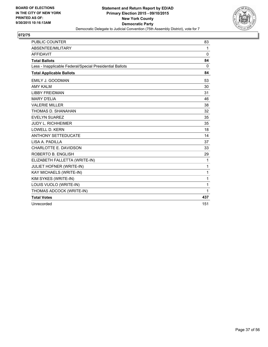

| <b>PUBLIC COUNTER</b>                                    | 83           |
|----------------------------------------------------------|--------------|
| <b>ABSENTEE/MILITARY</b>                                 | 1            |
| <b>AFFIDAVIT</b>                                         | $\Omega$     |
| <b>Total Ballots</b>                                     | 84           |
| Less - Inapplicable Federal/Special Presidential Ballots | $\mathbf{0}$ |
| <b>Total Applicable Ballots</b>                          | 84           |
| <b>EMILY J. GOODMAN</b>                                  | 53           |
| <b>AMY KALM</b>                                          | 30           |
| <b>LIBBY FREIDMAN</b>                                    | 31           |
| <b>MARY D'ELIA</b>                                       | 46           |
| <b>VALERIE MILLER</b>                                    | 38           |
| THOMAS D. SHANAHAN                                       | 32           |
| <b>EVELYN SUAREZ</b>                                     | 35           |
| <b>JUDY L. RICHHEIMER</b>                                | 35           |
| <b>LOWELL D. KERN</b>                                    | 18           |
| <b>ANTHONY SETTEDUCATE</b>                               | 14           |
| LISA A. PADILLA                                          | 37           |
| CHARLOTTE E. DAVIDSON                                    | 33           |
| ROBERTO B. ENGLISH                                       | 29           |
| ELIZABETH FALLETTA (WRITE-IN)                            | 1            |
| JULIET HOFNER (WRITE-IN)                                 | 1            |
| KAY MICHAELS (WRITE-IN)                                  | 1            |
| KIM SYKES (WRITE-IN)                                     | 1            |
| LOUIS VUOLO (WRITE-IN)                                   | 1            |
| THOMAS ADCOCK (WRITE-IN)                                 | 1            |
| <b>Total Votes</b>                                       | 437          |
| Unrecorded                                               | 151          |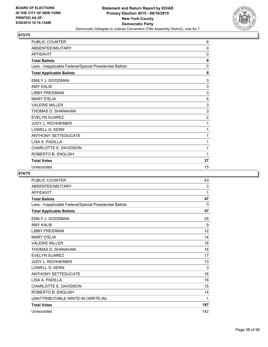

| PUBLIC COUNTER                                           | 6              |
|----------------------------------------------------------|----------------|
| ABSENTEE/MILITARY                                        | $\mathbf{0}$   |
| AFFIDAVIT                                                | 0              |
| <b>Total Ballots</b>                                     | 6              |
| Less - Inapplicable Federal/Special Presidential Ballots | 0              |
| <b>Total Applicable Ballots</b>                          | 6              |
| EMILY J. GOODMAN                                         | 3              |
| <b>AMY KALM</b>                                          | 3              |
| <b>LIBBY FREIDMAN</b>                                    | 3              |
| <b>MARY D'ELIA</b>                                       | 4              |
| <b>VALERIE MILLER</b>                                    | 3              |
| THOMAS D. SHANAHAN                                       | 3              |
| <b>EVELYN SUAREZ</b>                                     | $\overline{2}$ |
| <b>JUDY L. RICHHEIMER</b>                                | 1              |
| <b>LOWELL D. KERN</b>                                    | 1              |
| <b>ANTHONY SETTEDUCATE</b>                               | 1              |
| LISA A. PADILLA                                          | 1              |
| <b>CHARLOTTE E. DAVIDSON</b>                             | 1              |
| ROBERTO B. ENGLISH                                       | 1              |
| <b>Total Votes</b>                                       | 27             |
| Unrecorded                                               | 15             |

| <b>PUBLIC COUNTER</b>                                    | 43       |
|----------------------------------------------------------|----------|
| ABSENTEE/MILITARY                                        | 3        |
| <b>AFFIDAVIT</b>                                         | 1        |
| <b>Total Ballots</b>                                     | 47       |
| Less - Inapplicable Federal/Special Presidential Ballots | $\Omega$ |
| <b>Total Applicable Ballots</b>                          | 47       |
| <b>EMILY J. GOODMAN</b>                                  | 25       |
| <b>AMY KALM</b>                                          | 9        |
| <b>LIBBY FREIDMAN</b>                                    | 12       |
| <b>MARY D'FI IA</b>                                      | 14       |
| <b>VALERIE MILLER</b>                                    | 16       |
| THOMAS D. SHANAHAN                                       | 16       |
| <b>EVELYN SUAREZ</b>                                     | 17       |
| <b>JUDY L. RICHHEIMER</b>                                | 13       |
| <b>LOWELL D. KERN</b>                                    | 3        |
| <b>ANTHONY SETTEDUCATE</b>                               | 16       |
| LISA A. PADILLA                                          | 16       |
| CHARLOTTE E. DAVIDSON                                    | 15       |
| ROBERTO B. ENGLISH                                       | 14       |
| UNATTRIBUTABLE WRITE-IN (WRITE-IN)                       | 1        |
| <b>Total Votes</b>                                       | 187      |
| Unrecorded                                               | 142      |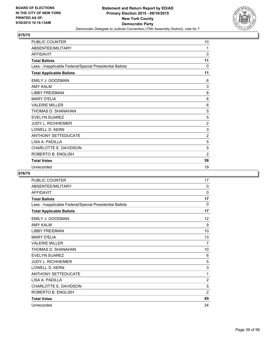

| PUBLIC COUNTER                                           | 10             |
|----------------------------------------------------------|----------------|
| ABSENTEE/MILITARY                                        | 1              |
| AFFIDAVIT                                                | 0              |
| <b>Total Ballots</b>                                     | 11             |
| Less - Inapplicable Federal/Special Presidential Ballots | 0              |
| <b>Total Applicable Ballots</b>                          | 11             |
| EMILY J. GOODMAN                                         | 6              |
| <b>AMY KALM</b>                                          | 3              |
| <b>LIBBY FREIDMAN</b>                                    | 8              |
| <b>MARY D'ELIA</b>                                       | 6              |
| <b>VALERIE MILLER</b>                                    | 6              |
| THOMAS D. SHANAHAN                                       | 5              |
| <b>EVELYN SUAREZ</b>                                     | 5              |
| <b>JUDY L. RICHHEIMER</b>                                | $\overline{2}$ |
| <b>LOWELL D. KERN</b>                                    | 3              |
| <b>ANTHONY SETTEDUCATE</b>                               | $\overline{2}$ |
| LISA A. PADILLA                                          | 5              |
| <b>CHARLOTTE E. DAVIDSON</b>                             | 5              |
| ROBERTO B. ENGLISH                                       | $\overline{2}$ |
| <b>Total Votes</b>                                       | 58             |
| Unrecorded                                               | 19             |

| PUBLIC COUNTER                                           | 17             |
|----------------------------------------------------------|----------------|
| ABSENTEE/MILITARY                                        | 0              |
| <b>AFFIDAVIT</b>                                         | 0              |
| <b>Total Ballots</b>                                     | 17             |
| Less - Inapplicable Federal/Special Presidential Ballots | 0              |
| <b>Total Applicable Ballots</b>                          | 17             |
| EMILY J. GOODMAN                                         | 12             |
| <b>AMY KALM</b>                                          | 9              |
| <b>LIBBY FREIDMAN</b>                                    | 10             |
| <b>MARY D'ELIA</b>                                       | 13             |
| <b>VALERIE MILLER</b>                                    | 7              |
| THOMAS D. SHANAHAN                                       | 10             |
| <b>EVELYN SUAREZ</b>                                     | 6              |
| <b>JUDY L. RICHHEIMER</b>                                | 5              |
| <b>LOWELL D. KERN</b>                                    | 3              |
| <b>ANTHONY SETTEDUCATE</b>                               | 1              |
| LISA A. PADILLA                                          | $\overline{2}$ |
| CHARLOTTE E. DAVIDSON                                    | 5              |
| ROBERTO B. ENGLISH                                       | $\overline{2}$ |
| <b>Total Votes</b>                                       | 85             |
| Unrecorded                                               | 34             |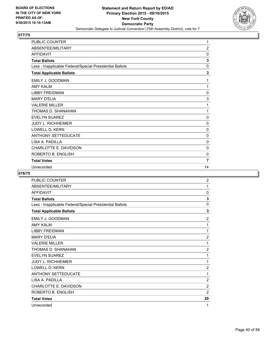

| PUBLIC COUNTER                                           | 1              |
|----------------------------------------------------------|----------------|
| ABSENTEE/MILITARY                                        | $\overline{2}$ |
| AFFIDAVIT                                                | 0              |
| <b>Total Ballots</b>                                     | 3              |
| Less - Inapplicable Federal/Special Presidential Ballots | 0              |
| <b>Total Applicable Ballots</b>                          | 3              |
| EMILY J. GOODMAN                                         | 1              |
| <b>AMY KALM</b>                                          | 1              |
| <b>LIBBY FREIDMAN</b>                                    | 0              |
| <b>MARY D'ELIA</b>                                       | 3              |
| <b>VALERIE MILLER</b>                                    | 1              |
| THOMAS D. SHANAHAN                                       | 1              |
| <b>EVELYN SUAREZ</b>                                     | $\mathbf{0}$   |
| <b>JUDY L. RICHHEIMER</b>                                | 0              |
| <b>LOWELL D. KERN</b>                                    | 0              |
| <b>ANTHONY SETTEDUCATE</b>                               | 0              |
| LISA A. PADILLA                                          | 0              |
| CHARLOTTE E. DAVIDSON                                    | 0              |
| ROBERTO B. ENGLISH                                       | 0              |
| <b>Total Votes</b>                                       | $\overline{7}$ |
| Unrecorded                                               | 14             |

| PUBLIC COUNTER                                           | $\overline{2}$ |
|----------------------------------------------------------|----------------|
| ABSENTEE/MILITARY                                        | 1              |
| <b>AFFIDAVIT</b>                                         | 0              |
| <b>Total Ballots</b>                                     | 3              |
| Less - Inapplicable Federal/Special Presidential Ballots | $\mathbf 0$    |
| <b>Total Applicable Ballots</b>                          | 3              |
| EMILY J. GOODMAN                                         | $\overline{2}$ |
| <b>AMY KALM</b>                                          | 1              |
| <b>LIBBY FREIDMAN</b>                                    | 1              |
| <b>MARY D'ELIA</b>                                       | $\overline{2}$ |
| <b>VALERIE MILLER</b>                                    | 1              |
| THOMAS D. SHANAHAN                                       | $\overline{2}$ |
| <b>EVELYN SUAREZ</b>                                     | 1              |
| <b>JUDY L. RICHHEIMER</b>                                | 1              |
| <b>LOWELL D. KERN</b>                                    | $\overline{2}$ |
| <b>ANTHONY SETTEDUCATE</b>                               | 1              |
| LISA A. PADILLA                                          | $\overline{2}$ |
| CHARLOTTE E. DAVIDSON                                    | $\overline{2}$ |
| ROBERTO B. ENGLISH                                       | $\overline{2}$ |
| <b>Total Votes</b>                                       | 20             |
| Unrecorded                                               | 1              |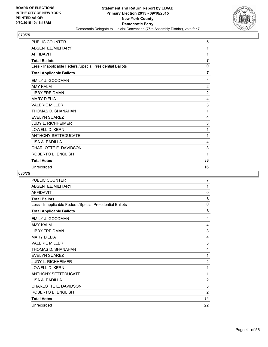

| PUBLIC COUNTER                                           | 5              |
|----------------------------------------------------------|----------------|
| ABSENTEE/MILITARY                                        | 1              |
| <b>AFFIDAVIT</b>                                         | 1              |
| <b>Total Ballots</b>                                     | 7              |
| Less - Inapplicable Federal/Special Presidential Ballots | 0              |
| <b>Total Applicable Ballots</b>                          | 7              |
| EMILY J. GOODMAN                                         | 4              |
| <b>AMY KALM</b>                                          | $\overline{2}$ |
| <b>LIBBY FREIDMAN</b>                                    | $\overline{2}$ |
| <b>MARY D'ELIA</b>                                       | 4              |
| <b>VALERIE MILLER</b>                                    | 3              |
| THOMAS D. SHANAHAN                                       | 1              |
| <b>EVELYN SUAREZ</b>                                     | 4              |
| <b>JUDY L. RICHHEIMER</b>                                | 3              |
| LOWELL D. KERN                                           | 1              |
| ANTHONY SETTEDUCATE                                      | 1              |
| LISA A. PADILLA                                          | 4              |
| CHARLOTTE E. DAVIDSON                                    | 3              |
| ROBERTO B. ENGLISH                                       | 1              |
| <b>Total Votes</b>                                       | 33             |
| Unrecorded                                               | 16             |

| PUBLIC COUNTER                                           | 7              |
|----------------------------------------------------------|----------------|
| ABSENTEE/MILITARY                                        | 1              |
| <b>AFFIDAVIT</b>                                         | 0              |
| <b>Total Ballots</b>                                     | 8              |
| Less - Inapplicable Federal/Special Presidential Ballots | $\mathbf 0$    |
| <b>Total Applicable Ballots</b>                          | 8              |
| EMILY J. GOODMAN                                         | 4              |
| <b>AMY KALM</b>                                          | 4              |
| <b>LIBBY FREIDMAN</b>                                    | 3              |
| <b>MARY D'ELIA</b>                                       | 4              |
| <b>VALERIE MILLER</b>                                    | 3              |
| THOMAS D. SHANAHAN                                       | 4              |
| <b>EVELYN SUAREZ</b>                                     | 1              |
| <b>JUDY L. RICHHEIMER</b>                                | $\overline{2}$ |
| <b>LOWELL D. KERN</b>                                    | 1              |
| <b>ANTHONY SETTEDUCATE</b>                               | 1              |
| LISA A. PADILLA                                          | $\overline{2}$ |
| CHARLOTTE E. DAVIDSON                                    | 3              |
| ROBERTO B. ENGLISH                                       | $\overline{2}$ |
| <b>Total Votes</b>                                       | 34             |
| Unrecorded                                               | 22             |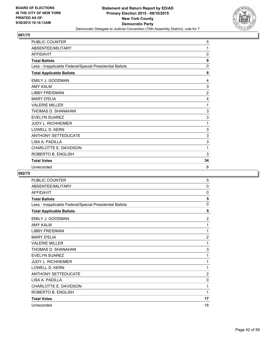

| PUBLIC COUNTER                                           | 5              |
|----------------------------------------------------------|----------------|
| ABSENTEE/MILITARY                                        | 1              |
| <b>AFFIDAVIT</b>                                         | 0              |
| <b>Total Ballots</b>                                     | 6              |
| Less - Inapplicable Federal/Special Presidential Ballots | 0              |
| <b>Total Applicable Ballots</b>                          | 6              |
| EMILY J. GOODMAN                                         | 4              |
| AMY KAI M                                                | 3              |
| <b>LIBBY FREIDMAN</b>                                    | $\overline{2}$ |
| <b>MARY D'ELIA</b>                                       | 4              |
| <b>VALERIE MILLER</b>                                    | 1              |
| THOMAS D. SHANAHAN                                       | 3              |
| <b>EVELYN SUAREZ</b>                                     | 3              |
| <b>JUDY L. RICHHEIMER</b>                                | 1              |
| <b>LOWELL D. KERN</b>                                    | 3              |
| ANTHONY SETTEDUCATE                                      | 3              |
| LISA A. PADILLA                                          | 3              |
| CHARLOTTE E. DAVIDSON                                    | 1              |
| ROBERTO B. ENGLISH                                       | 3              |
| <b>Total Votes</b>                                       | 34             |
| Unrecorded                                               | 8              |

| PUBLIC COUNTER                                           | 5              |
|----------------------------------------------------------|----------------|
| ABSENTEE/MILITARY                                        | 0              |
| <b>AFFIDAVIT</b>                                         | 0              |
| <b>Total Ballots</b>                                     | 5              |
| Less - Inapplicable Federal/Special Presidential Ballots | 0              |
| <b>Total Applicable Ballots</b>                          | 5              |
| EMILY J. GOODMAN                                         | $\overline{2}$ |
| <b>AMY KALM</b>                                          | 1              |
| <b>LIBBY FREIDMAN</b>                                    | 1              |
| <b>MARY D'ELIA</b>                                       | $\overline{2}$ |
| <b>VALERIE MILLER</b>                                    | 1              |
| THOMAS D. SHANAHAN                                       | 3              |
| <b>EVELYN SUAREZ</b>                                     | 1              |
| <b>JUDY L. RICHHEIMER</b>                                | 1              |
| LOWELL D. KERN                                           | 1              |
| <b>ANTHONY SETTEDUCATE</b>                               | $\overline{2}$ |
| LISA A. PADILLA                                          | 0              |
| CHARLOTTE E. DAVIDSON                                    | 1              |
| ROBERTO B. ENGLISH                                       | 1              |
| <b>Total Votes</b>                                       | 17             |
| Unrecorded                                               | 18             |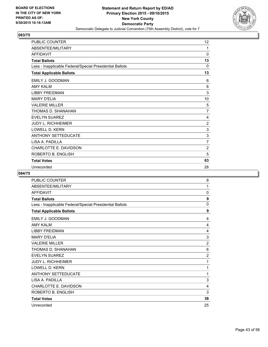

| PUBLIC COUNTER                                           | 12             |
|----------------------------------------------------------|----------------|
| ABSENTEE/MILITARY                                        | 1              |
| <b>AFFIDAVIT</b>                                         | 0              |
| <b>Total Ballots</b>                                     | 13             |
| Less - Inapplicable Federal/Special Presidential Ballots | 0              |
| <b>Total Applicable Ballots</b>                          | 13             |
| EMILY J. GOODMAN                                         | 6              |
| <b>AMY KALM</b>                                          | 6              |
| <b>LIBBY FREIDMAN</b>                                    | 3              |
| <b>MARY D'ELIA</b>                                       | 10             |
| <b>VALERIE MILLER</b>                                    | 5              |
| THOMAS D. SHANAHAN                                       | 7              |
| <b>EVELYN SUAREZ</b>                                     | 4              |
| <b>JUDY L. RICHHEIMER</b>                                | $\overline{2}$ |
| LOWELL D. KERN                                           | 3              |
| <b>ANTHONY SETTEDUCATE</b>                               | 3              |
| LISA A. PADILLA                                          | 7              |
| <b>CHARLOTTE E. DAVIDSON</b>                             | $\overline{2}$ |
| ROBERTO B. ENGLISH                                       | 5              |
| <b>Total Votes</b>                                       | 63             |
| Unrecorded                                               | 28             |

| PUBLIC COUNTER                                           | 8              |
|----------------------------------------------------------|----------------|
| ABSENTEE/MILITARY                                        | 1              |
| <b>AFFIDAVIT</b>                                         | 0              |
| <b>Total Ballots</b>                                     | 9              |
| Less - Inapplicable Federal/Special Presidential Ballots | 0              |
| <b>Total Applicable Ballots</b>                          | 9              |
| EMILY J. GOODMAN                                         | 4              |
| <b>AMY KALM</b>                                          | 4              |
| <b>LIBBY FREIDMAN</b>                                    | 4              |
| <b>MARY D'ELIA</b>                                       | 3              |
| <b>VALERIE MILLER</b>                                    | $\overline{2}$ |
| THOMAS D. SHANAHAN                                       | 6              |
| <b>EVELYN SUAREZ</b>                                     | $\overline{2}$ |
| <b>JUDY L. RICHHEIMER</b>                                | 1              |
| <b>LOWELL D. KERN</b>                                    | 1              |
| <b>ANTHONY SETTEDUCATE</b>                               | 1              |
| LISA A. PADILLA                                          | 3              |
| CHARLOTTE E. DAVIDSON                                    | 4              |
| ROBERTO B. ENGLISH                                       | 3              |
| <b>Total Votes</b>                                       | 38             |
| Unrecorded                                               | 25             |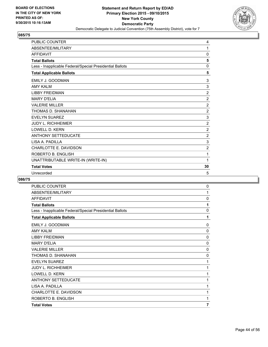

| <b>PUBLIC COUNTER</b>                                    | 4              |
|----------------------------------------------------------|----------------|
| ABSENTEE/MILITARY                                        | 1              |
| <b>AFFIDAVIT</b>                                         | 0              |
| <b>Total Ballots</b>                                     | 5              |
| Less - Inapplicable Federal/Special Presidential Ballots | 0              |
| <b>Total Applicable Ballots</b>                          | 5              |
| EMILY J. GOODMAN                                         | 3              |
| <b>AMY KALM</b>                                          | 3              |
| <b>LIBBY FREIDMAN</b>                                    | $\overline{2}$ |
| <b>MARY D'ELIA</b>                                       | $\overline{2}$ |
| <b>VALERIE MILLER</b>                                    | $\overline{2}$ |
| THOMAS D. SHANAHAN                                       | $\overline{2}$ |
| <b>EVELYN SUAREZ</b>                                     | 3              |
| <b>JUDY L. RICHHEIMER</b>                                | $\overline{2}$ |
| <b>LOWELL D. KERN</b>                                    | $\overline{2}$ |
| <b>ANTHONY SETTEDUCATE</b>                               | 2              |
| LISA A. PADILLA                                          | 3              |
| <b>CHARLOTTE E. DAVIDSON</b>                             | $\overline{2}$ |
| ROBERTO B. ENGLISH                                       | 1              |
| UNATTRIBUTABLE WRITE-IN (WRITE-IN)                       | 1              |
| <b>Total Votes</b>                                       | 30             |
| Unrecorded                                               | 5              |

| <b>PUBLIC COUNTER</b>                                    | $\mathbf{0}$ |
|----------------------------------------------------------|--------------|
| ABSENTEE/MILITARY                                        | 1            |
| <b>AFFIDAVIT</b>                                         | 0            |
| <b>Total Ballots</b>                                     | 1            |
| Less - Inapplicable Federal/Special Presidential Ballots | 0            |
| <b>Total Applicable Ballots</b>                          | 1            |
| EMILY J. GOODMAN                                         | $\Omega$     |
| <b>AMY KAI M</b>                                         | 0            |
| <b>LIBBY FREIDMAN</b>                                    | 0            |
| <b>MARY D'ELIA</b>                                       | $\mathbf 0$  |
| <b>VALERIE MILLER</b>                                    | 0            |
| THOMAS D. SHANAHAN                                       | 0            |
| <b>EVELYN SUAREZ</b>                                     | 1            |
| <b>JUDY L. RICHHEIMER</b>                                | 1            |
| LOWELL D. KERN                                           | 1            |
| <b>ANTHONY SETTEDUCATE</b>                               | 1            |
| LISA A. PADILLA                                          | 1            |
| CHARLOTTE E. DAVIDSON                                    | 1            |
| ROBERTO B. ENGLISH                                       | 1            |
| <b>Total Votes</b>                                       | 7            |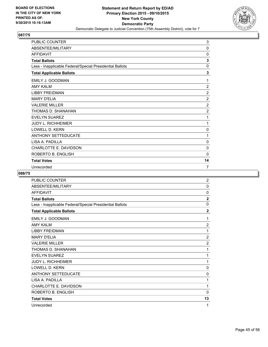

| PUBLIC COUNTER                                           | 3              |
|----------------------------------------------------------|----------------|
| ABSENTEE/MILITARY                                        | $\mathbf{0}$   |
| AFFIDAVIT                                                | 0              |
| <b>Total Ballots</b>                                     | 3              |
| Less - Inapplicable Federal/Special Presidential Ballots | 0              |
| <b>Total Applicable Ballots</b>                          | 3              |
| EMILY J. GOODMAN                                         | 1              |
| <b>AMY KALM</b>                                          | $\overline{2}$ |
| <b>LIBBY FREIDMAN</b>                                    | $\overline{2}$ |
| <b>MARY D'ELIA</b>                                       | $\overline{2}$ |
| <b>VALERIE MILLER</b>                                    | $\overline{2}$ |
| THOMAS D. SHANAHAN                                       | $\overline{2}$ |
| <b>EVELYN SUAREZ</b>                                     | 1              |
| <b>JUDY L. RICHHEIMER</b>                                | 1              |
| <b>LOWELL D. KERN</b>                                    | 0              |
| <b>ANTHONY SETTEDUCATE</b>                               | 1              |
| LISA A. PADILLA                                          | 0              |
| CHARLOTTE E. DAVIDSON                                    | 0              |
| ROBERTO B. ENGLISH                                       | $\mathbf{0}$   |
| <b>Total Votes</b>                                       | 14             |
| Unrecorded                                               | 7              |

| PUBLIC COUNTER                                           | $\overline{c}$ |
|----------------------------------------------------------|----------------|
| ABSENTEE/MILITARY                                        | 0              |
| <b>AFFIDAVIT</b>                                         | 0              |
| <b>Total Ballots</b>                                     | $\mathbf 2$    |
| Less - Inapplicable Federal/Special Presidential Ballots | 0              |
| <b>Total Applicable Ballots</b>                          | $\overline{2}$ |
| EMILY J. GOODMAN                                         | 1              |
| <b>AMY KALM</b>                                          | $\overline{2}$ |
| <b>LIBBY FREIDMAN</b>                                    | 1              |
| <b>MARY D'ELIA</b>                                       | $\overline{2}$ |
| <b>VALERIE MILLER</b>                                    | $\overline{2}$ |
| THOMAS D. SHANAHAN                                       | 1              |
| <b>EVELYN SUAREZ</b>                                     | 1              |
| <b>JUDY L. RICHHEIMER</b>                                | 1              |
| LOWELL D. KERN                                           | 0              |
| <b>ANTHONY SETTEDUCATE</b>                               | 0              |
| LISA A. PADILLA                                          | 1              |
| CHARLOTTE E. DAVIDSON                                    | 1              |
| ROBERTO B. ENGLISH                                       | $\Omega$       |
| <b>Total Votes</b>                                       | 13             |
| Unrecorded                                               | 1              |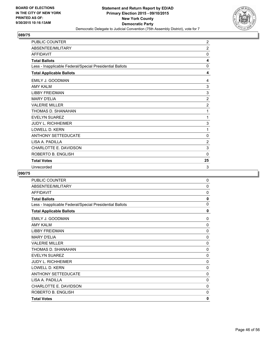

| PUBLIC COUNTER                                           | $\overline{c}$ |
|----------------------------------------------------------|----------------|
| ABSENTEE/MILITARY                                        | $\overline{c}$ |
| <b>AFFIDAVIT</b>                                         | 0              |
| <b>Total Ballots</b>                                     | 4              |
| Less - Inapplicable Federal/Special Presidential Ballots | 0              |
| <b>Total Applicable Ballots</b>                          | 4              |
| EMILY J. GOODMAN                                         | 4              |
| <b>AMY KALM</b>                                          | 3              |
| <b>LIBBY FREIDMAN</b>                                    | 3              |
| <b>MARY D'ELIA</b>                                       | $\overline{2}$ |
| <b>VALERIE MILLER</b>                                    | $\overline{2}$ |
| THOMAS D. SHANAHAN                                       | 1              |
| <b>EVELYN SUAREZ</b>                                     | 1              |
| <b>JUDY L. RICHHEIMER</b>                                | 3              |
| <b>LOWELL D. KERN</b>                                    | 1              |
| <b>ANTHONY SETTEDUCATE</b>                               | 0              |
| LISA A. PADILLA                                          | $\overline{2}$ |
| <b>CHARLOTTE E. DAVIDSON</b>                             | 3              |
| ROBERTO B. ENGLISH                                       | $\mathbf{0}$   |
| <b>Total Votes</b>                                       | 25             |
| Unrecorded                                               | 3              |

| PUBLIC COUNTER                                           | 0 |
|----------------------------------------------------------|---|
| ABSENTEE/MILITARY                                        | 0 |
| <b>AFFIDAVIT</b>                                         | 0 |
| <b>Total Ballots</b>                                     | 0 |
| Less - Inapplicable Federal/Special Presidential Ballots | 0 |
| <b>Total Applicable Ballots</b>                          | 0 |
| EMILY J. GOODMAN                                         | 0 |
| AMY KAI M                                                | 0 |
| <b>I IBBY FREIDMAN</b>                                   | 0 |
| <b>MARY D'FI IA</b>                                      | 0 |
| <b>VALERIE MILLER</b>                                    | 0 |
| THOMAS D. SHANAHAN                                       | 0 |
| <b>EVELYN SUAREZ</b>                                     | 0 |
| <b>JUDY L. RICHHEIMER</b>                                | 0 |
| <b>LOWELL D. KERN</b>                                    | 0 |
| <b>ANTHONY SETTEDUCATE</b>                               | 0 |
| LISA A. PADILLA                                          | 0 |
| <b>CHARLOTTE E. DAVIDSON</b>                             | 0 |
| ROBERTO B. ENGLISH                                       | 0 |
| <b>Total Votes</b>                                       | 0 |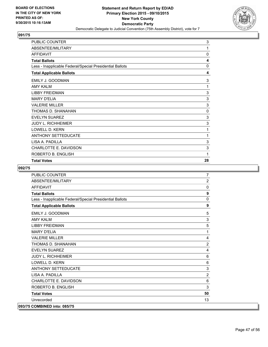

| <b>PUBLIC COUNTER</b>                                    | 3        |
|----------------------------------------------------------|----------|
| ABSENTEE/MILITARY                                        | 1        |
| <b>AFFIDAVIT</b>                                         | 0        |
| <b>Total Ballots</b>                                     | 4        |
| Less - Inapplicable Federal/Special Presidential Ballots | $\Omega$ |
| <b>Total Applicable Ballots</b>                          | 4        |
| EMILY J. GOODMAN                                         | 3        |
| AMY KAI M                                                | 1        |
| <b>LIBBY FREIDMAN</b>                                    | 3        |
| <b>MARY D'ELIA</b>                                       | 3        |
| <b>VALERIE MILLER</b>                                    | 3        |
| THOMAS D. SHANAHAN                                       | 0        |
| <b>EVELYN SUAREZ</b>                                     | 3        |
| <b>JUDY L. RICHHEIMER</b>                                | 3        |
| LOWELL D. KERN                                           | 1        |
| ANTHONY SETTEDUCATE                                      | 1        |
| LISA A. PADILLA                                          | 3        |
| CHARLOTTE E. DAVIDSON                                    | 3        |
| ROBERTO B. ENGLISH                                       | 1        |
| <b>Total Votes</b>                                       | 28       |

| <b>PUBLIC COUNTER</b>                                    | $\overline{7}$   |
|----------------------------------------------------------|------------------|
| ABSENTEE/MILITARY                                        | $\overline{2}$   |
| <b>AFFIDAVIT</b>                                         | $\mathbf 0$      |
| <b>Total Ballots</b>                                     | $\boldsymbol{9}$ |
| Less - Inapplicable Federal/Special Presidential Ballots | $\mathbf 0$      |
| <b>Total Applicable Ballots</b>                          | 9                |
| EMILY J. GOODMAN                                         | 5                |
| <b>AMY KALM</b>                                          | 3                |
| <b>LIBBY FREIDMAN</b>                                    | 5                |
| <b>MARY D'ELIA</b>                                       | 1                |
| <b>VALERIE MILLER</b>                                    | 4                |
| THOMAS D. SHANAHAN                                       | $\overline{2}$   |
| <b>EVELYN SUAREZ</b>                                     | 4                |
| <b>JUDY L. RICHHEIMER</b>                                | 6                |
| <b>LOWELL D. KERN</b>                                    | 6                |
| <b>ANTHONY SETTEDUCATE</b>                               | 3                |
| <b>I ISA A. PADILLA</b>                                  | $\overline{2}$   |
| CHARLOTTE E. DAVIDSON                                    | 6                |
| ROBERTO B. ENGLISH                                       | 3                |
| <b>Total Votes</b>                                       | 50               |
| Unrecorded                                               | 13               |
| 093/75 COMBINED into: 085/75                             |                  |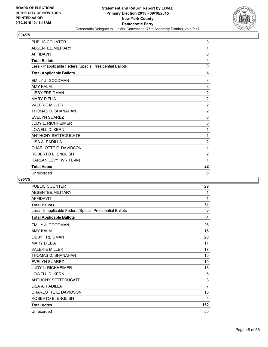

| <b>PUBLIC COUNTER</b>                                    | 3              |
|----------------------------------------------------------|----------------|
| ABSENTEE/MILITARY                                        | 1              |
| <b>AFFIDAVIT</b>                                         | 0              |
| <b>Total Ballots</b>                                     | 4              |
| Less - Inapplicable Federal/Special Presidential Ballots | 0              |
| <b>Total Applicable Ballots</b>                          | 4              |
| EMILY J. GOODMAN                                         | 3              |
| <b>AMY KALM</b>                                          | 3              |
| <b>LIBBY FREIDMAN</b>                                    | 2              |
| <b>MARY D'FI IA</b>                                      | $\overline{2}$ |
| <b>VALERIE MILLER</b>                                    | $\overline{2}$ |
| THOMAS D. SHANAHAN                                       | $\overline{2}$ |
| <b>EVELYN SUAREZ</b>                                     | $\Omega$       |
| <b>JUDY L. RICHHEIMER</b>                                | 0              |
| <b>LOWELL D. KERN</b>                                    | 1              |
| <b>ANTHONY SETTEDUCATE</b>                               | 1              |
| <b>I ISA A. PADILLA</b>                                  | 2              |
| CHARLOTTE E. DAVIDSON                                    | 1              |
| ROBERTO B. ENGLISH                                       | $\overline{2}$ |
| HARLAN LEVY (WRITE-IN)                                   | 1              |
| <b>Total Votes</b>                                       | 22             |
| Unrecorded                                               | 6              |

| <b>PUBLIC COUNTER</b>                                    | 29             |
|----------------------------------------------------------|----------------|
| ABSENTEE/MILITARY                                        | $\mathbf 1$    |
| <b>AFFIDAVIT</b>                                         | 1              |
| <b>Total Ballots</b>                                     | 31             |
| Less - Inapplicable Federal/Special Presidential Ballots | 0              |
| <b>Total Applicable Ballots</b>                          | 31             |
| EMILY J. GOODMAN                                         | 26             |
| <b>AMY KALM</b>                                          | 15             |
| <b>LIBBY FREIDMAN</b>                                    | 20             |
| <b>MARY D'FI IA</b>                                      | 11             |
| <b>VALERIE MILLER</b>                                    | 17             |
| THOMAS D. SHANAHAN                                       | 15             |
| <b>EVELYN SUAREZ</b>                                     | 10             |
| <b>JUDY L. RICHHEIMER</b>                                | 13             |
| <b>LOWELL D. KERN</b>                                    | 6              |
| <b>ANTHONY SETTEDUCATE</b>                               | 3              |
| LISA A. PADILLA                                          | $\overline{7}$ |
| <b>CHARLOTTE E. DAVIDSON</b>                             | 15             |
| ROBERTO B. ENGLISH                                       | 4              |
| <b>Total Votes</b>                                       | 162            |
| Unrecorded                                               | 55             |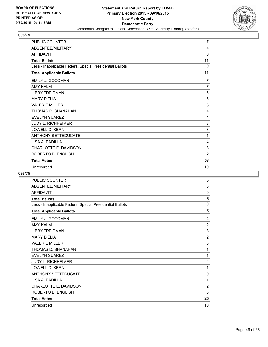

| PUBLIC COUNTER                                           | 7              |
|----------------------------------------------------------|----------------|
| ABSENTEE/MILITARY                                        | 4              |
| <b>AFFIDAVIT</b>                                         | 0              |
| <b>Total Ballots</b>                                     | 11             |
| Less - Inapplicable Federal/Special Presidential Ballots | 0              |
| <b>Total Applicable Ballots</b>                          | 11             |
| EMILY J. GOODMAN                                         | $\overline{7}$ |
| <b>AMY KALM</b>                                          | $\overline{7}$ |
| <b>LIBBY FREIDMAN</b>                                    | 6              |
| <b>MARY D'ELIA</b>                                       | 6              |
| <b>VALERIE MILLER</b>                                    | 8              |
| THOMAS D. SHANAHAN                                       | 4              |
| <b>EVELYN SUAREZ</b>                                     | 4              |
| <b>JUDY L. RICHHEIMER</b>                                | 3              |
| LOWELL D. KERN                                           | 3              |
| <b>ANTHONY SETTEDUCATE</b>                               | 1              |
| LISA A. PADILLA                                          | 4              |
| <b>CHARLOTTE E. DAVIDSON</b>                             | 3              |
| ROBERTO B. ENGLISH                                       | 2              |
| <b>Total Votes</b>                                       | 58             |
| Unrecorded                                               | 19             |

| PUBLIC COUNTER                                           | 5              |
|----------------------------------------------------------|----------------|
| ABSENTEE/MILITARY                                        | 0              |
| <b>AFFIDAVIT</b>                                         | 0              |
| <b>Total Ballots</b>                                     | 5              |
| Less - Inapplicable Federal/Special Presidential Ballots | 0              |
| <b>Total Applicable Ballots</b>                          | 5              |
| EMILY J. GOODMAN                                         | 4              |
| <b>AMY KALM</b>                                          | $\overline{2}$ |
| <b>LIBBY FREIDMAN</b>                                    | 3              |
| <b>MARY D'ELIA</b>                                       | $\overline{2}$ |
| <b>VALERIE MILLER</b>                                    | 3              |
| THOMAS D. SHANAHAN                                       | 1              |
| <b>EVELYN SUAREZ</b>                                     | 1              |
| <b>JUDY L. RICHHEIMER</b>                                | $\overline{2}$ |
| <b>LOWELL D. KERN</b>                                    | 1              |
| <b>ANTHONY SETTEDUCATE</b>                               | $\mathbf 0$    |
| LISA A. PADILLA                                          | 1              |
| <b>CHARLOTTE E. DAVIDSON</b>                             | $\overline{2}$ |
| ROBERTO B. ENGLISH                                       | 3              |
| <b>Total Votes</b>                                       | 25             |
| Unrecorded                                               | 10             |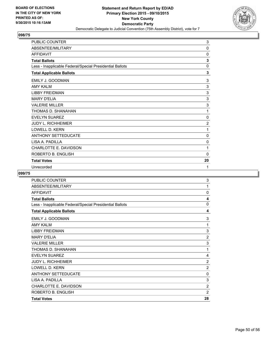

| PUBLIC COUNTER                                           | 3              |
|----------------------------------------------------------|----------------|
| ABSENTEE/MILITARY                                        | $\mathbf{0}$   |
| AFFIDAVIT                                                | 0              |
| <b>Total Ballots</b>                                     | 3              |
| Less - Inapplicable Federal/Special Presidential Ballots | 0              |
| <b>Total Applicable Ballots</b>                          | 3              |
| EMILY J. GOODMAN                                         | 3              |
| <b>AMY KALM</b>                                          | 3              |
| <b>LIBBY FREIDMAN</b>                                    | 3              |
| <b>MARY D'ELIA</b>                                       | 3              |
| <b>VALERIE MILLER</b>                                    | 3              |
| THOMAS D. SHANAHAN                                       | 1              |
| <b>EVELYN SUAREZ</b>                                     | 0              |
| <b>JUDY L. RICHHEIMER</b>                                | $\overline{2}$ |
| <b>LOWELL D. KERN</b>                                    | 1              |
| <b>ANTHONY SETTEDUCATE</b>                               | 0              |
| LISA A. PADILLA                                          | 0              |
| <b>CHARLOTTE E. DAVIDSON</b>                             | 1              |
| ROBERTO B. ENGLISH                                       | $\mathbf{0}$   |
| <b>Total Votes</b>                                       | 20             |
| Unrecorded                                               | 1              |

| PUBLIC COUNTER                                           | 3              |
|----------------------------------------------------------|----------------|
| ABSENTEE/MILITARY                                        | 1              |
| <b>AFFIDAVIT</b>                                         | 0              |
| <b>Total Ballots</b>                                     | 4              |
| Less - Inapplicable Federal/Special Presidential Ballots | 0              |
| <b>Total Applicable Ballots</b>                          | 4              |
| EMILY J. GOODMAN                                         | 3              |
| AMY KAI M                                                | 1              |
| <b>I IBBY FREIDMAN</b>                                   | 3              |
| <b>MARY D'ELIA</b>                                       | $\overline{2}$ |
| <b>VALERIE MILLER</b>                                    | 3              |
| THOMAS D. SHANAHAN                                       | 1              |
| <b>EVELYN SUAREZ</b>                                     | 4              |
| <b>JUDY L. RICHHEIMER</b>                                | $\overline{2}$ |
| <b>LOWELL D. KERN</b>                                    | $\overline{2}$ |
| <b>ANTHONY SETTEDUCATE</b>                               | 0              |
| LISA A. PADILLA                                          | 3              |
| <b>CHARLOTTE E. DAVIDSON</b>                             | $\overline{2}$ |
| ROBERTO B. ENGLISH                                       | 2              |
| <b>Total Votes</b>                                       | 28             |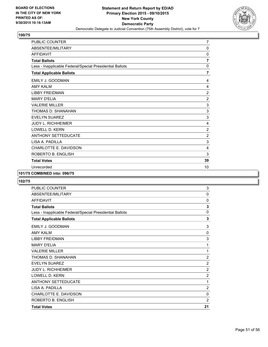

| PUBLIC COUNTER                                           | $\overline{7}$ |
|----------------------------------------------------------|----------------|
| ABSENTEE/MILITARY                                        | 0              |
| <b>AFFIDAVIT</b>                                         | 0              |
| <b>Total Ballots</b>                                     | $\overline{7}$ |
| Less - Inapplicable Federal/Special Presidential Ballots | 0              |
| <b>Total Applicable Ballots</b>                          | $\overline{7}$ |
| EMILY J. GOODMAN                                         | 4              |
| <b>AMY KALM</b>                                          | 4              |
| <b>LIBBY FREIDMAN</b>                                    | 2              |
| <b>MARY D'ELIA</b>                                       | 2              |
| <b>VALERIE MILLER</b>                                    | 3              |
| THOMAS D. SHANAHAN                                       | 3              |
| <b>EVELYN SUAREZ</b>                                     | 3              |
| <b>JUDY L. RICHHEIMER</b>                                | 4              |
| <b>LOWELL D. KERN</b>                                    | $\overline{2}$ |
| <b>ANTHONY SETTEDUCATE</b>                               | $\overline{2}$ |
| LISA A. PADILLA                                          | 3              |
| CHARLOTTE E. DAVIDSON                                    | 4              |
| ROBERTO B. ENGLISH                                       | 3              |
| <b>Total Votes</b>                                       | 39             |
| Unrecorded                                               | 10             |

#### **101/75 COMBINED into: 096/75**

| <b>PUBLIC COUNTER</b>                                    | 3              |
|----------------------------------------------------------|----------------|
| ABSENTEE/MILITARY                                        | 0              |
| <b>AFFIDAVIT</b>                                         | $\Omega$       |
| <b>Total Ballots</b>                                     | 3              |
| Less - Inapplicable Federal/Special Presidential Ballots | $\Omega$       |
| <b>Total Applicable Ballots</b>                          | 3              |
| EMILY J. GOODMAN                                         | 3              |
| <b>AMY KAI M</b>                                         | 0              |
| <b>LIBBY FREIDMAN</b>                                    | 3              |
| <b>MARY D'FI IA</b>                                      | 1              |
| <b>VALERIE MILLER</b>                                    | 1              |
| THOMAS D. SHANAHAN                                       | $\overline{2}$ |
| <b>EVELYN SUAREZ</b>                                     | $\overline{2}$ |
| <b>JUDY L. RICHHEIMER</b>                                | $\overline{2}$ |
| <b>LOWELL D. KERN</b>                                    | $\overline{2}$ |
| <b>ANTHONY SETTEDUCATE</b>                               | 1              |
| LISA A. PADILLA                                          | $\overline{2}$ |
| CHARLOTTE E. DAVIDSON                                    | $\Omega$       |
| ROBERTO B. ENGLISH                                       | $\overline{2}$ |
| <b>Total Votes</b>                                       | 21             |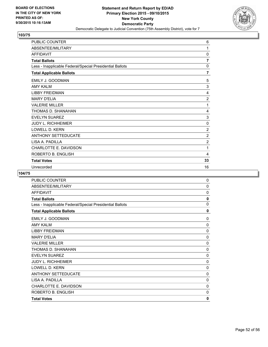

| PUBLIC COUNTER                                           | 6              |
|----------------------------------------------------------|----------------|
| ABSENTEE/MILITARY                                        | 1              |
| <b>AFFIDAVIT</b>                                         | 0              |
| <b>Total Ballots</b>                                     | 7              |
| Less - Inapplicable Federal/Special Presidential Ballots | 0              |
| <b>Total Applicable Ballots</b>                          | 7              |
| EMILY J. GOODMAN                                         | 5              |
| <b>AMY KALM</b>                                          | 3              |
| <b>LIBBY FREIDMAN</b>                                    | 4              |
| <b>MARY D'ELIA</b>                                       | $\overline{2}$ |
| <b>VALERIE MILLER</b>                                    | 1              |
| THOMAS D. SHANAHAN                                       | 4              |
| <b>EVELYN SUAREZ</b>                                     | 3              |
| <b>JUDY L. RICHHEIMER</b>                                | 0              |
| LOWELL D. KERN                                           | $\overline{c}$ |
| <b>ANTHONY SETTEDUCATE</b>                               | $\overline{2}$ |
| LISA A. PADILLA                                          | $\overline{2}$ |
| <b>CHARLOTTE E. DAVIDSON</b>                             | 1              |
| ROBERTO B. ENGLISH                                       | 4              |
| <b>Total Votes</b>                                       | 33             |
| Unrecorded                                               | 16             |

| PUBLIC COUNTER                                           | 0            |
|----------------------------------------------------------|--------------|
| ABSENTEE/MILITARY                                        | $\mathbf 0$  |
| <b>AFFIDAVIT</b>                                         | $\mathbf{0}$ |
| <b>Total Ballots</b>                                     | 0            |
| Less - Inapplicable Federal/Special Presidential Ballots | $\mathbf 0$  |
| <b>Total Applicable Ballots</b>                          | $\mathbf{0}$ |
| EMILY J. GOODMAN                                         | 0            |
| <b>AMY KALM</b>                                          | 0            |
| <b>LIBBY FREIDMAN</b>                                    | 0            |
| <b>MARY D'ELIA</b>                                       | 0            |
| <b>VALERIE MILLER</b>                                    | 0            |
| THOMAS D. SHANAHAN                                       | 0            |
| <b>EVELYN SUAREZ</b>                                     | 0            |
| <b>JUDY L. RICHHEIMER</b>                                | 0            |
| LOWELL D. KERN                                           | 0            |
| <b>ANTHONY SETTEDUCATE</b>                               | 0            |
| LISA A. PADILLA                                          | 0            |
| CHARLOTTE E. DAVIDSON                                    | $\Omega$     |
| ROBERTO B. ENGLISH                                       | 0            |
| <b>Total Votes</b>                                       | 0            |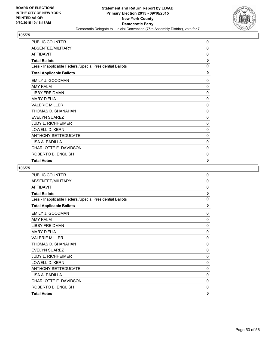

| PUBLIC COUNTER                                           | 0            |
|----------------------------------------------------------|--------------|
| ABSENTEE/MILITARY                                        | 0            |
| <b>AFFIDAVIT</b>                                         | 0            |
| <b>Total Ballots</b>                                     | $\mathbf{0}$ |
| Less - Inapplicable Federal/Special Presidential Ballots | 0            |
| <b>Total Applicable Ballots</b>                          | 0            |
| EMILY J. GOODMAN                                         | $\Omega$     |
| <b>AMY KALM</b>                                          | 0            |
| <b>LIBBY FREIDMAN</b>                                    | 0            |
| <b>MARY D'ELIA</b>                                       | 0            |
| <b>VALERIE MILLER</b>                                    | 0            |
| THOMAS D. SHANAHAN                                       | 0            |
| <b>EVELYN SUAREZ</b>                                     | 0            |
| <b>JUDY L. RICHHEIMER</b>                                | 0            |
| LOWELL D. KERN                                           | 0            |
| <b>ANTHONY SETTEDUCATE</b>                               | 0            |
| LISA A. PADILLA                                          | 0            |
| CHARLOTTE E. DAVIDSON                                    | 0            |
| ROBERTO B. ENGLISH                                       | 0            |
| <b>Total Votes</b>                                       | 0            |

| <b>PUBLIC COUNTER</b>                                    | 0            |
|----------------------------------------------------------|--------------|
| ABSENTEE/MILITARY                                        | 0            |
| <b>AFFIDAVIT</b>                                         | $\mathbf{0}$ |
| <b>Total Ballots</b>                                     | $\mathbf{0}$ |
| Less - Inapplicable Federal/Special Presidential Ballots | $\mathbf{0}$ |
| <b>Total Applicable Ballots</b>                          | 0            |
| EMILY J. GOODMAN                                         | $\mathbf{0}$ |
| <b>AMY KALM</b>                                          | 0            |
| <b>I IBBY FREIDMAN</b>                                   | 0            |
| <b>MARY D'ELIA</b>                                       | 0            |
| <b>VALERIE MILLER</b>                                    | 0            |
| THOMAS D. SHANAHAN                                       | 0            |
| <b>EVELYN SUAREZ</b>                                     | $\mathbf{0}$ |
| <b>JUDY L. RICHHEIMER</b>                                | 0            |
| <b>LOWELL D. KERN</b>                                    | $\mathbf{0}$ |
| <b>ANTHONY SETTEDUCATE</b>                               | 0            |
| LISA A. PADILLA                                          | $\mathbf{0}$ |
| <b>CHARLOTTE E. DAVIDSON</b>                             | $\mathbf{0}$ |
| ROBERTO B. ENGLISH                                       | 0            |
| <b>Total Votes</b>                                       | 0            |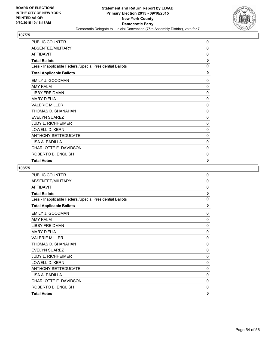

| PUBLIC COUNTER                                           | 0            |
|----------------------------------------------------------|--------------|
| ABSENTEE/MILITARY                                        | 0            |
| <b>AFFIDAVIT</b>                                         | $\Omega$     |
| <b>Total Ballots</b>                                     | $\mathbf{0}$ |
| Less - Inapplicable Federal/Special Presidential Ballots | 0            |
| <b>Total Applicable Ballots</b>                          | 0            |
| EMILY J. GOODMAN                                         | 0            |
| <b>AMY KALM</b>                                          | $\Omega$     |
| <b>LIBBY FREIDMAN</b>                                    | 0            |
| <b>MARY D'FI IA</b>                                      | 0            |
| <b>VALERIE MILLER</b>                                    | 0            |
| THOMAS D. SHANAHAN                                       | 0            |
| <b>EVELYN SUAREZ</b>                                     | 0            |
| <b>JUDY L. RICHHEIMER</b>                                | $\Omega$     |
| LOWELL D. KERN                                           | $\Omega$     |
| <b>ANTHONY SETTEDUCATE</b>                               | 0            |
| LISA A. PADILLA                                          | 0            |
| CHARLOTTE E. DAVIDSON                                    | 0            |
| ROBERTO B. ENGLISH                                       | 0            |
| <b>Total Votes</b>                                       | 0            |

| <b>PUBLIC COUNTER</b>                                    | 0            |
|----------------------------------------------------------|--------------|
| ABSENTEE/MILITARY                                        | 0            |
| <b>AFFIDAVIT</b>                                         | $\mathbf{0}$ |
| <b>Total Ballots</b>                                     | $\mathbf{0}$ |
| Less - Inapplicable Federal/Special Presidential Ballots | $\mathbf{0}$ |
| <b>Total Applicable Ballots</b>                          | 0            |
| EMILY J. GOODMAN                                         | $\mathbf{0}$ |
| <b>AMY KALM</b>                                          | 0            |
| <b>I IBBY FREIDMAN</b>                                   | 0            |
| <b>MARY D'ELIA</b>                                       | 0            |
| <b>VALERIE MILLER</b>                                    | 0            |
| THOMAS D. SHANAHAN                                       | 0            |
| <b>EVELYN SUAREZ</b>                                     | $\mathbf{0}$ |
| <b>JUDY L. RICHHEIMER</b>                                | 0            |
| <b>LOWELL D. KERN</b>                                    | $\mathbf{0}$ |
| <b>ANTHONY SETTEDUCATE</b>                               | 0            |
| LISA A. PADILLA                                          | $\mathbf{0}$ |
| <b>CHARLOTTE E. DAVIDSON</b>                             | $\mathbf{0}$ |
| ROBERTO B. ENGLISH                                       | 0            |
| <b>Total Votes</b>                                       | 0            |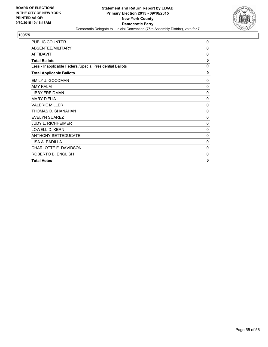

| PUBLIC COUNTER                                           | 0           |
|----------------------------------------------------------|-------------|
| ABSENTEE/MILITARY                                        | 0           |
| <b>AFFIDAVIT</b>                                         | 0           |
| <b>Total Ballots</b>                                     | 0           |
| Less - Inapplicable Federal/Special Presidential Ballots | 0           |
| <b>Total Applicable Ballots</b>                          | 0           |
| EMILY J. GOODMAN                                         | 0           |
| <b>AMY KALM</b>                                          | $\Omega$    |
| <b>LIBBY FREIDMAN</b>                                    | 0           |
| <b>MARY D'FI IA</b>                                      | 0           |
| <b>VALERIE MILLER</b>                                    | 0           |
| THOMAS D. SHANAHAN                                       | 0           |
| <b>EVELYN SUAREZ</b>                                     | 0           |
| <b>JUDY L. RICHHEIMER</b>                                | 0           |
| LOWELL D. KERN                                           | 0           |
| <b>ANTHONY SETTEDUCATE</b>                               | 0           |
| LISA A. PADILLA                                          | 0           |
| CHARLOTTE E. DAVIDSON                                    | 0           |
| ROBERTO B. ENGLISH                                       | $\mathbf 0$ |
| <b>Total Votes</b>                                       | 0           |